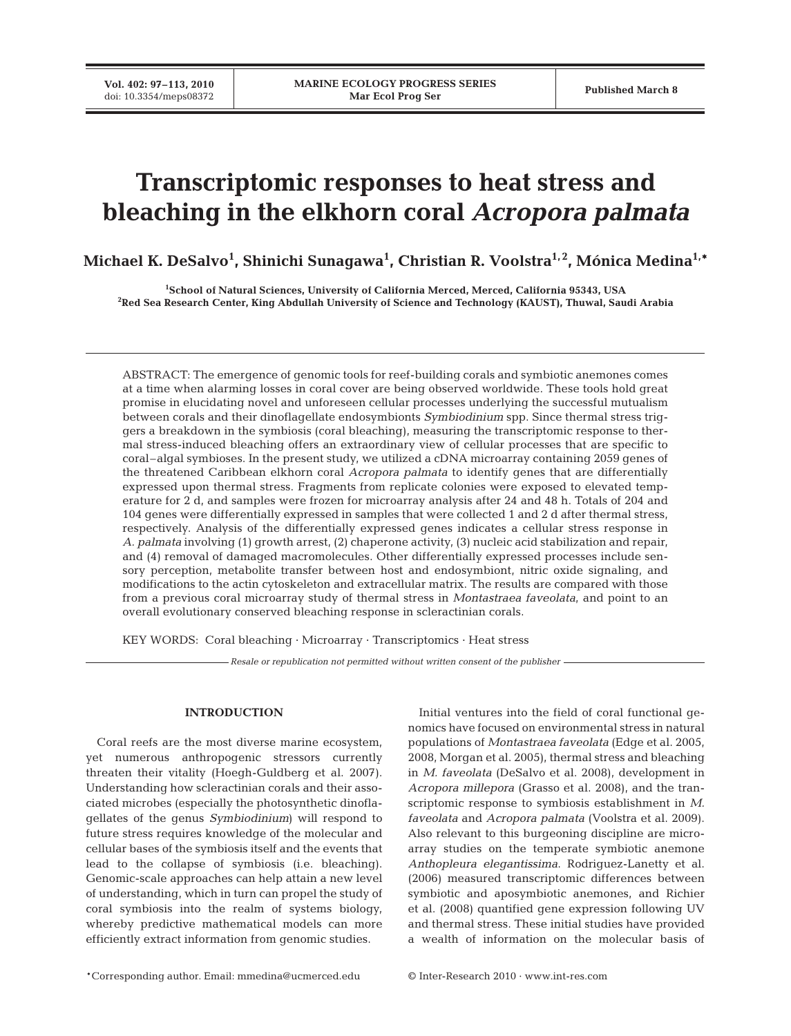# **Transcriptomic responses to heat stress and bleaching in the elkhorn coral** *Acropora palmata*

**Michael K. DeSalvo1 , Shinichi Sunagawa1 , Christian R. Voolstra1, 2, Mónica Medina1,\***

**1 School of Natural Sciences, University of California Merced, Merced, California 95343, USA 2 Red Sea Research Center, King Abdullah University of Science and Technology (KAUST), Thuwal, Saudi Arabia**

ABSTRACT: The emergence of genomic tools for reef-building corals and symbiotic anemones comes at a time when alarming losses in coral cover are being observed worldwide. These tools hold great promise in elucidating novel and unforeseen cellular processes underlying the successful mutualism between corals and their dinoflagellate endosymbionts *Symbiodinium* spp. Since thermal stress triggers a breakdown in the symbiosis (coral bleaching), measuring the transcriptomic response to thermal stress-induced bleaching offers an extraordinary view of cellular processes that are specific to coral–algal symbioses. In the present study, we utilized a cDNA microarray containing 2059 genes of the threatened Caribbean elkhorn coral *Acropora palmata* to identify genes that are differentially expressed upon thermal stress. Fragments from replicate colonies were exposed to elevated temperature for 2 d, and samples were frozen for microarray analysis after 24 and 48 h. Totals of 204 and 104 genes were differentially expressed in samples that were collected 1 and 2 d after thermal stress, respectively. Analysis of the differentially expressed genes indicates a cellular stress response in *A. palmata* involving (1) growth arrest, (2) chaperone activity, (3) nucleic acid stabilization and repair, and (4) removal of damaged macromolecules. Other differentially expressed processes include sensory perception, metabolite transfer between host and endosymbiont, nitric oxide signaling, and modifications to the actin cytoskeleton and extracellular matrix. The results are compared with those from a previous coral microarray study of thermal stress in *Montastraea faveolata*, and point to an overall evolutionary conserved bleaching response in scleractinian corals.

KEY WORDS: Coral bleaching · Microarray · Transcriptomics · Heat stress

*Resale or republication not permitted without written consent of the publisher*

# **INTRODUCTION**

Coral reefs are the most diverse marine ecosystem, yet numerous anthropogenic stressors currently threaten their vitality (Hoegh-Guldberg et al. 2007). Understanding how scleractinian corals and their associated microbes (especially the photosynthetic dinoflagellates of the genus *Symbiodinium*) will respond to future stress requires knowledge of the molecular and cellular bases of the symbiosis itself and the events that lead to the collapse of symbiosis (i.e. bleaching). Genomic-scale approaches can help attain a new level of understanding, which in turn can propel the study of coral symbiosis into the realm of systems biology, whereby predictive mathematical models can more efficiently extract information from genomic studies.

Initial ventures into the field of coral functional genomics have focused on environmental stress in natural populations of *Montastraea faveolata* (Edge et al. 2005, 2008, Morgan et al. 2005), thermal stress and bleaching in *M. faveolata* (DeSalvo et al. 2008), development in *Acropora millepora* (Grasso et al. 2008), and the transcriptomic response to symbiosis establishment in *M. faveolata* and *Acropora palmata* (Voolstra et al. 2009). Also relevant to this burgeoning discipline are microarray studies on the temperate symbiotic anemone *Anthopleura elegantissima*. Rodriguez-Lanetty et al. (2006) measured transcriptomic differences between symbiotic and aposymbiotic anemones, and Richier et al. (2008) quantified gene expression following UV and thermal stress. These initial studies have provided a wealth of information on the molecular basis of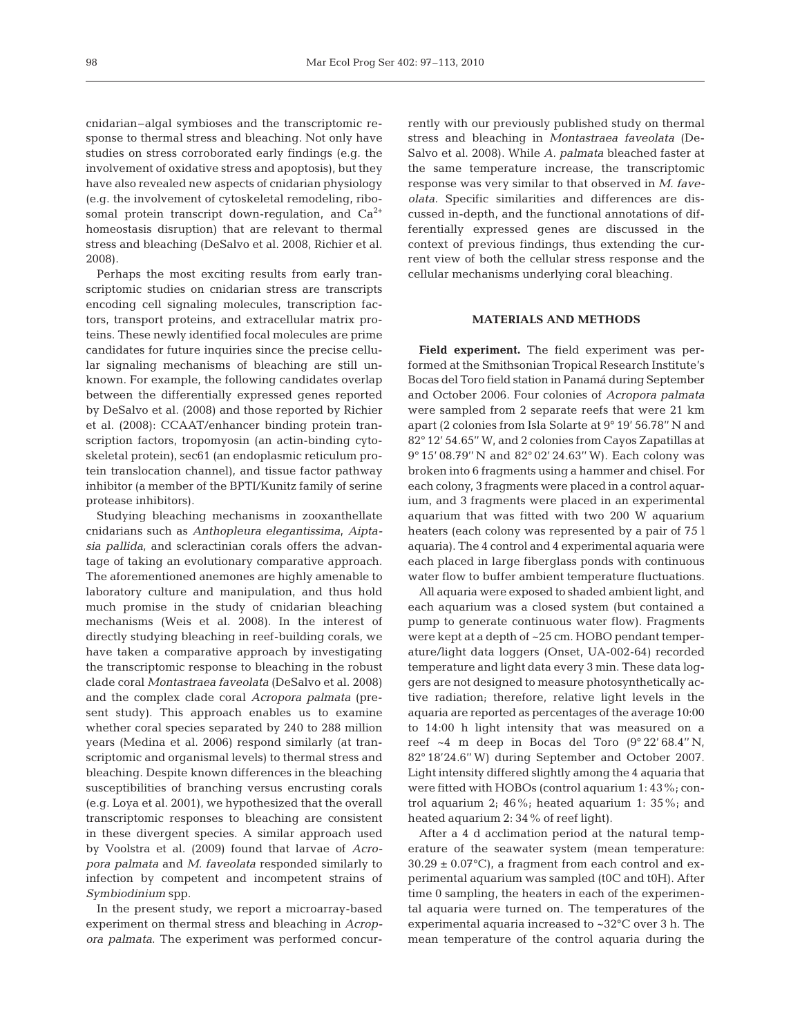cnidarian–algal symbioses and the transcriptomic response to thermal stress and bleaching. Not only have studies on stress corroborated early findings (e.g. the involvement of oxidative stress and apoptosis), but they have also revealed new aspects of cnidarian physiology (e.g. the involvement of cytoskeletal remodeling, ribosomal protein transcript down-regulation, and  $Ca^{2+}$ homeostasis disruption) that are relevant to thermal stress and bleaching (DeSalvo et al. 2008, Richier et al. 2008).

Perhaps the most exciting results from early transcriptomic studies on cnidarian stress are transcripts encoding cell signaling molecules, transcription factors, transport proteins, and extracellular matrix proteins. These newly identified focal molecules are prime candidates for future inquiries since the precise cellular signaling mechanisms of bleaching are still unknown. For example, the following candidates overlap between the differentially expressed genes reported by DeSalvo et al. (2008) and those reported by Richier et al. (2008): CCAAT/enhancer binding protein transcription factors, tropomyosin (an actin-binding cytoskeletal protein), sec61 (an endoplasmic reticulum protein translocation channel), and tissue factor pathway inhibitor (a member of the BPTI/Kunitz family of serine protease inhibitors).

Studying bleaching mechanisms in zooxanthellate cnidarians such as *Anthopleura elegantissima*, *Aiptasia pallida*, and scleractinian corals offers the advantage of taking an evolutionary comparative approach. The aforementioned anemones are highly amenable to laboratory culture and manipulation, and thus hold much promise in the study of cnidarian bleaching mechanisms (Weis et al. 2008). In the interest of directly studying bleaching in reef-building corals, we have taken a comparative approach by investigating the transcriptomic response to bleaching in the robust clade coral *Montastraea faveolata* (DeSalvo et al. 2008) and the complex clade coral *Acropora palmata* (present study). This approach enables us to examine whether coral species separated by 240 to 288 million years (Medina et al. 2006) respond similarly (at transcriptomic and organismal levels) to thermal stress and bleaching. Despite known differences in the bleaching susceptibilities of branching versus encrusting corals (e.g. Loya et al. 2001), we hypothesized that the overall transcriptomic responses to bleaching are consistent in these divergent species. A similar approach used by Voolstra et al. (2009) found that larvae of *Acropora palmata* and *M. faveolata* responded similarly to infection by competent and incompetent strains of *Symbiodinium* spp.

In the present study, we report a microarray-based experiment on thermal stress and bleaching in *Acropora palmata*. The experiment was performed concurrently with our previously published study on thermal stress and bleaching in *Montastraea faveolata* (De-Salvo et al. 2008). While *A. palmata* bleached faster at the same temperature increase, the transcriptomic response was very similar to that observed in *M. faveolata.* Specific similarities and differences are discussed in-depth, and the functional annotations of differentially expressed genes are discussed in the context of previous findings, thus extending the current view of both the cellular stress response and the cellular mechanisms underlying coral bleaching.

## **MATERIALS AND METHODS**

**Field experiment.** The field experiment was performed at the Smithsonian Tropical Research Institute's Bocas del Toro field station in Panamá during September and October 2006. Four colonies of *Acropora palmata* were sampled from 2 separate reefs that were 21 km apart (2 colonies from Isla Solarte at 9° 19' 56.78'' N and 82° 12' 54.65'' W, and 2 colonies from Cayos Zapatillas at 9° 15' 08.79'' N and 82° 02' 24.63'' W). Each colony was broken into 6 fragments using a hammer and chisel. For each colony, 3 fragments were placed in a control aquarium, and 3 fragments were placed in an experimental aquarium that was fitted with two 200 W aquarium heaters (each colony was represented by a pair of 75 l aquaria). The 4 control and 4 experimental aquaria were each placed in large fiberglass ponds with continuous water flow to buffer ambient temperature fluctuations.

All aquaria were exposed to shaded ambient light, and each aquarium was a closed system (but contained a pump to generate continuous water flow). Fragments were kept at a depth of ~25 cm. HOBO pendant temperature/light data loggers (Onset, UA-002-64) recorded temperature and light data every 3 min. These data loggers are not designed to measure photosynthetically active radiation; therefore, relative light levels in the aquaria are reported as percentages of the average 10:00 to 14:00 h light intensity that was measured on a reef  $~1$  m deep in Bocas del Toro  $(9°22' 68.4'' N, )$ 82° 18'24.6'' W) during September and October 2007. Light intensity differed slightly among the 4 aquaria that were fitted with HOBOs (control aquarium 1: 43%; control aquarium 2; 46%; heated aquarium 1: 35%; and heated aquarium 2: 34% of reef light).

After a 4 d acclimation period at the natural temperature of the seawater system (mean temperature:  $30.29 \pm 0.07$ °C), a fragment from each control and experimental aquarium was sampled (t0C and t0H). After time 0 sampling, the heaters in each of the experimental aquaria were turned on. The temperatures of the experimental aquaria increased to ~32°C over 3 h. The mean temperature of the control aquaria during the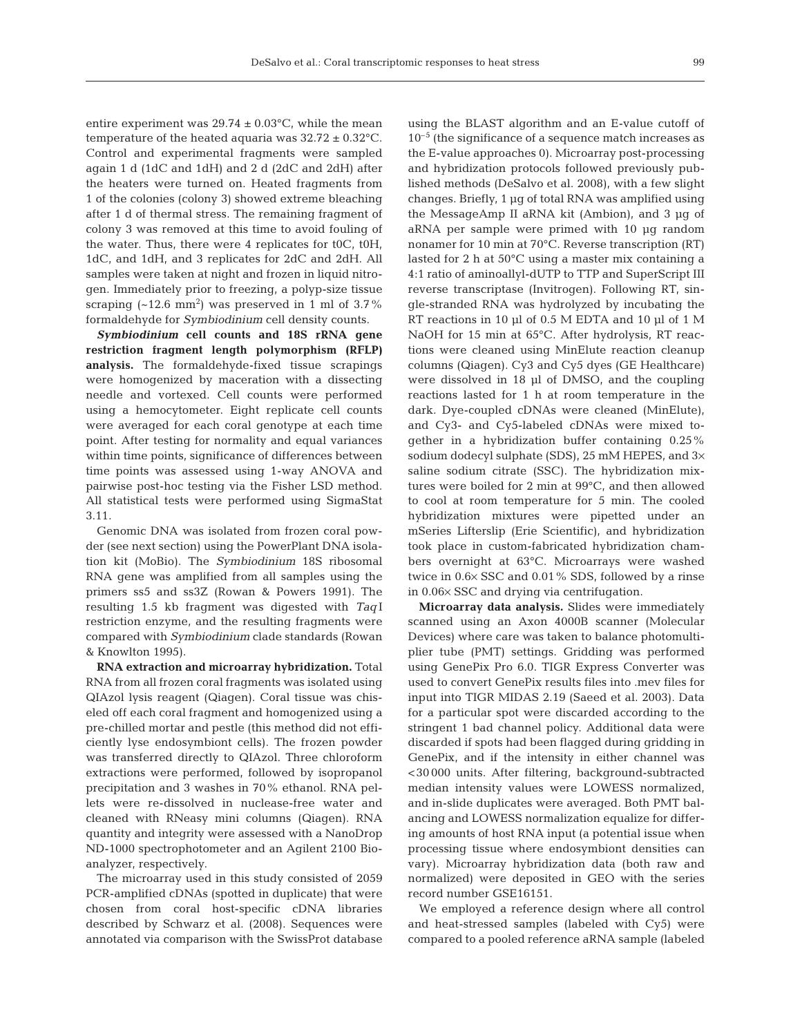entire experiment was  $29.74 \pm 0.03$ °C, while the mean temperature of the heated aquaria was  $32.72 \pm 0.32^{\circ}$ C. Control and experimental fragments were sampled again 1 d (1dC and 1dH) and 2 d (2dC and 2dH) after the heaters were turned on. Heated fragments from 1 of the colonies (colony 3) showed extreme bleaching after 1 d of thermal stress. The remaining fragment of colony 3 was removed at this time to avoid fouling of the water. Thus, there were 4 replicates for t0C, t0H, 1dC, and 1dH, and 3 replicates for 2dC and 2dH. All samples were taken at night and frozen in liquid nitrogen. Immediately prior to freezing, a polyp-size tissue scraping  $({\sim}12.6~\text{mm}^2)$  was preserved in 1 ml of 3.7% formaldehyde for *Symbiodinium* cell density counts.

*Symbiodinium* **cell counts and 18S rRNA gene restriction fragment length polymorphism (RFLP) analysis.** The formaldehyde-fixed tissue scrapings were homogenized by maceration with a dissecting needle and vortexed. Cell counts were performed using a hemocytometer. Eight replicate cell counts were averaged for each coral genotype at each time point. After testing for normality and equal variances within time points, significance of differences between time points was assessed using 1-way ANOVA and pairwise post-hoc testing via the Fisher LSD method. All statistical tests were performed using SigmaStat 3.11.

Genomic DNA was isolated from frozen coral powder (see next section) using the PowerPlant DNA isolation kit (MoBio). The *Symbiodinium* 18S ribosomal RNA gene was amplified from all samples using the primers ss5 and ss3Z (Rowan & Powers 1991). The resulting 1.5 kb fragment was digested with *Taq* I restriction enzyme, and the resulting fragments were compared with *Symbiodinium* clade standards (Rowan & Knowlton 1995).

**RNA extraction and microarray hybridization.** Total RNA from all frozen coral fragments was isolated using QIAzol lysis reagent (Qiagen). Coral tissue was chiseled off each coral fragment and homogenized using a pre-chilled mortar and pestle (this method did not efficiently lyse endosymbiont cells). The frozen powder was transferred directly to QIAzol. Three chloroform extractions were performed, followed by isopropanol precipitation and 3 washes in 70% ethanol. RNA pellets were re-dissolved in nuclease-free water and cleaned with RNeasy mini columns (Qiagen). RNA quantity and integrity were assessed with a NanoDrop ND-1000 spectrophotometer and an Agilent 2100 Bioanalyzer, respectively.

The microarray used in this study consisted of 2059 PCR-amplified cDNAs (spotted in duplicate) that were chosen from coral host-specific cDNA libraries described by Schwarz et al. (2008). Sequences were annotated via comparison with the SwissProt database using the BLAST algorithm and an E-value cutoff of  $10^{-5}$  (the significance of a sequence match increases as the E-value approaches 0). Microarray post-processing and hybridization protocols followed previously published methods (DeSalvo et al. 2008), with a few slight changes. Briefly, 1 µg of total RNA was amplified using the MessageAmp II aRNA kit (Ambion), and 3 µg of aRNA per sample were primed with 10 µg random nonamer for 10 min at 70°C. Reverse transcription (RT) lasted for 2 h at 50°C using a master mix containing a 4:1 ratio of aminoallyl-dUTP to TTP and SuperScript III reverse transcriptase (Invitrogen). Following RT, single-stranded RNA was hydrolyzed by incubating the RT reactions in 10 µl of 0.5 M EDTA and 10 µl of 1 M NaOH for 15 min at 65°C. After hydrolysis, RT reactions were cleaned using MinElute reaction cleanup columns (Qiagen). Cy3 and Cy5 dyes (GE Healthcare) were dissolved in 18 µl of DMSO, and the coupling reactions lasted for 1 h at room temperature in the dark. Dye-coupled cDNAs were cleaned (MinElute), and Cy3- and Cy5-labeled cDNAs were mixed together in a hybridization buffer containing 0.25% sodium dodecyl sulphate (SDS), 25 mM HEPES, and  $3\times$ saline sodium citrate (SSC). The hybridization mixtures were boiled for 2 min at 99°C, and then allowed to cool at room temperature for 5 min. The cooled hybridization mixtures were pipetted under an mSeries Lifterslip (Erie Scientific), and hybridization took place in custom-fabricated hybridization chambers overnight at 63°C. Microarrays were washed twice in 0.6× SSC and 0.01% SDS, followed by a rinse in 0.06× SSC and drying via centrifugation.

**Microarray data analysis.** Slides were immediately scanned using an Axon 4000B scanner (Molecular Devices) where care was taken to balance photomultiplier tube (PMT) settings. Gridding was performed using GenePix Pro 6.0. TIGR Express Converter was used to convert GenePix results files into .mev files for input into TIGR MIDAS 2.19 (Saeed et al. 2003). Data for a particular spot were discarded according to the stringent 1 bad channel policy. Additional data were discarded if spots had been flagged during gridding in GenePix, and if the intensity in either channel was <30 000 units. After filtering, background-subtracted median intensity values were LOWESS normalized, and in-slide duplicates were averaged. Both PMT balancing and LOWESS normalization equalize for differing amounts of host RNA input (a potential issue when processing tissue where endosymbiont densities can vary). Microarray hybridization data (both raw and normalized) were deposited in GEO with the series record number GSE16151.

We employed a reference design where all control and heat-stressed samples (labeled with Cy5) were compared to a pooled reference aRNA sample (labeled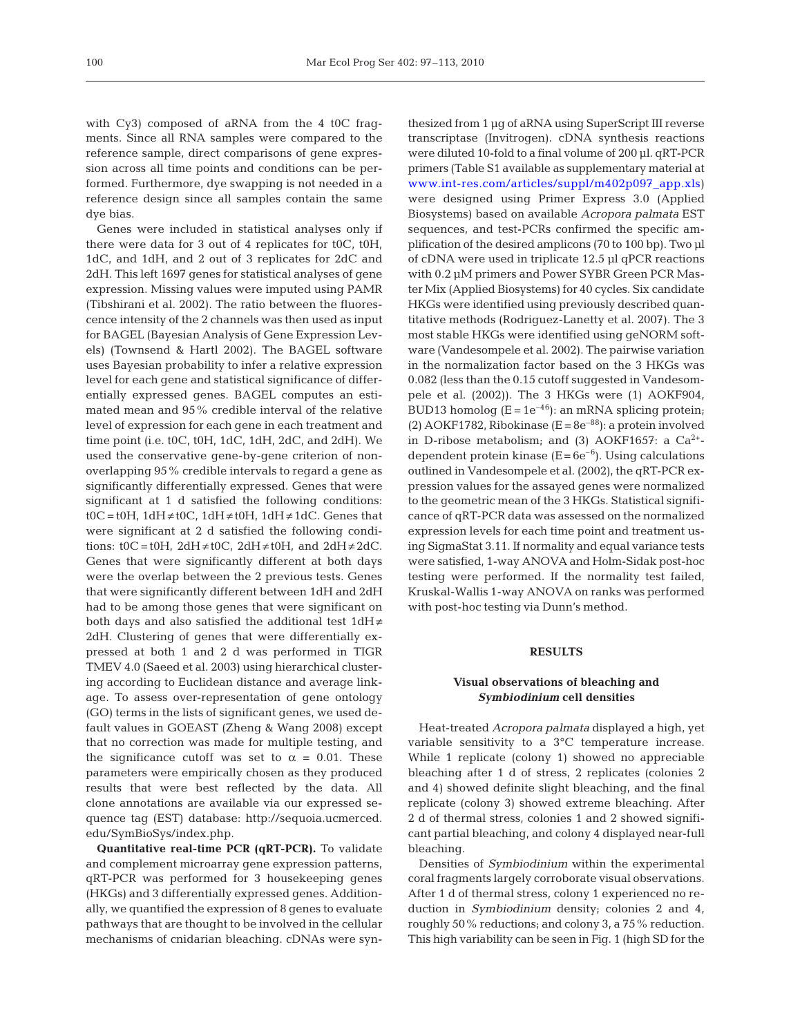with Cy3) composed of aRNA from the 4 t0C fragments. Since all RNA samples were compared to the reference sample, direct comparisons of gene expression across all time points and conditions can be performed. Furthermore, dye swapping is not needed in a reference design since all samples contain the same dye bias.

Genes were included in statistical analyses only if there were data for 3 out of 4 replicates for t0C, t0H, 1dC, and 1dH, and 2 out of 3 replicates for 2dC and 2dH. This left 1697 genes for statistical analyses of gene expression. Missing values were imputed using PAMR (Tibshirani et al. 2002). The ratio between the fluorescence intensity of the 2 channels was then used as input for BAGEL (Bayesian Analysis of Gene Expression Levels) (Townsend & Hartl 2002). The BAGEL software uses Bayesian probability to infer a relative expression level for each gene and statistical significance of differentially expressed genes. BAGEL computes an estimated mean and 95% credible interval of the relative level of expression for each gene in each treatment and time point (i.e. t0C, t0H, 1dC, 1dH, 2dC, and 2dH). We used the conservative gene-by-gene criterion of nonoverlapping 95% credible intervals to regard a gene as significantly differentially expressed. Genes that were significant at 1 d satisfied the following conditions:  $\text{t0C} = \text{t0H}$ ,  $1 \text{d} \text{H} \neq \text{t0C}$ ,  $1 \text{d} \text{H} \neq \text{t0H}$ ,  $1 \text{d} \text{H} \neq 1 \text{d} \text{C}$ . Genes that were significant at 2 d satisfied the following conditions:  $\text{t0C} = \text{t0H}$ ,  $2\text{dH} \neq \text{t0C}$ ,  $2\text{dH} \neq \text{t0H}$ , and  $2\text{dH} \neq 2\text{dC}$ . Genes that were significantly different at both days were the overlap between the 2 previous tests. Genes that were significantly different between 1dH and 2dH had to be among those genes that were significant on both days and also satisfied the additional test  $1dH \neq$ 2dH. Clustering of genes that were differentially expressed at both 1 and 2 d was performed in TIGR TMEV 4.0 (Saeed et al. 2003) using hierarchical clustering according to Euclidean distance and average linkage. To assess over-representation of gene ontology (GO) terms in the lists of significant genes, we used default values in GOEAST (Zheng & Wang 2008) except that no correction was made for multiple testing, and the significance cutoff was set to  $\alpha = 0.01$ . These parameters were empirically chosen as they produced results that were best reflected by the data. All clone annotations are available via our expressed sequence tag (EST) database: http://sequoia.ucmerced. edu/SymBioSys/index.php.

**Quantitative real-time PCR (qRT-PCR).** To validate and complement microarray gene expression patterns, qRT-PCR was performed for 3 housekeeping genes (HKGs) and 3 differentially expressed genes. Additionally, we quantified the expression of 8 genes to evaluate pathways that are thought to be involved in the cellular mechanisms of cnidarian bleaching. cDNAs were synthesized from 1 µg of aRNA using SuperScript III reverse transcriptase (Invitrogen). cDNA synthesis reactions were diluted 10-fold to a final volume of 200 µl. qRT-PCR primers (Table S1 available as supplementary material at [www.int-res.com/articles/suppl/m402p097\\_app.xls\)](http://www.int-res.com/articles/suppl/m402p097_app.xls) were designed using Primer Express 3.0 (Applied Biosystems) based on available *Acropora palmata* EST sequences, and test-PCRs confirmed the specific amplification of the desired amplicons (70 to 100 bp). Two µl of cDNA were used in triplicate 12.5 µl qPCR reactions with 0.2 µM primers and Power SYBR Green PCR Master Mix (Applied Biosystems) for 40 cycles. Six candidate HKGs were identified using previously described quantitative methods (Rodriguez-Lanetty et al. 2007). The 3 most stable HKGs were identified using geNORM software (Vandesompele et al. 2002). The pairwise variation in the normalization factor based on the 3 HKGs was 0.082 (less than the 0.15 cutoff suggested in Vandesompele et al. (2002)). The 3 HKGs were (1) AOKF904, BUD13 homolog ( $E = 1e^{-46}$ ): an mRNA splicing protein; (2) AOKF1782, Ribokinase ( $E = 8e^{-88}$ ): a protein involved in D-ribose metabolism; and (3) AOKF1657: a  $Ca^{2+}$ dependent protein kinase  $(E = 6e^{-6})$ . Using calculations outlined in Vandesompele et al. (2002), the qRT-PCR expression values for the assayed genes were normalized to the geometric mean of the 3 HKGs. Statistical significance of qRT-PCR data was assessed on the normalized expression levels for each time point and treatment using SigmaStat 3.11. If normality and equal variance tests were satisfied, 1-way ANOVA and Holm-Sidak post-hoc testing were performed. If the normality test failed, Kruskal-Wallis 1-way ANOVA on ranks was performed with post-hoc testing via Dunn's method.

# **RESULTS**

# **Visual observations of bleaching and** *Symbiodinium* **cell densities**

Heat-treated *Acropora palmata* displayed a high, yet variable sensitivity to a 3°C temperature increase. While 1 replicate (colony 1) showed no appreciable bleaching after 1 d of stress, 2 replicates (colonies 2 and 4) showed definite slight bleaching, and the final replicate (colony 3) showed extreme bleaching. After 2 d of thermal stress, colonies 1 and 2 showed significant partial bleaching, and colony 4 displayed near-full bleaching.

Densities of *Symbiodinium* within the experimental coral fragments largely corroborate visual observations. After 1 d of thermal stress, colony 1 experienced no reduction in *Symbiodinium* density; colonies 2 and 4, roughly 50% reductions; and colony 3, a 75% reduction. This high variability can be seen in Fig. 1 (high SD for the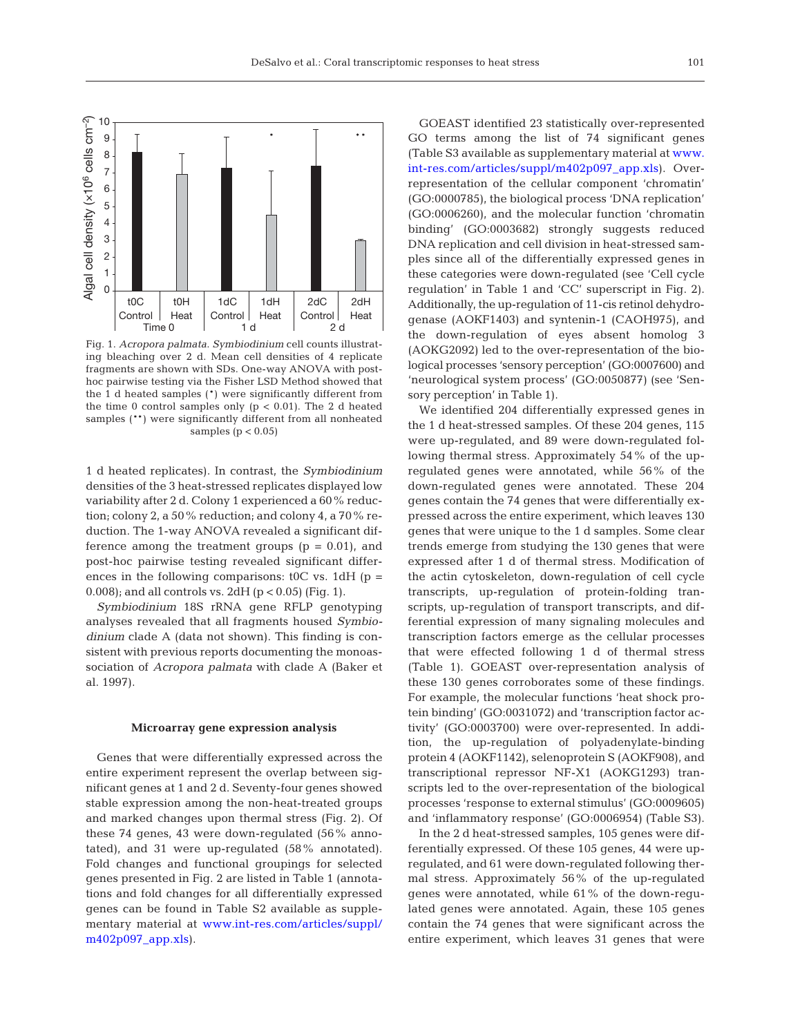

Fig. 1. *Acropora palmata*. *Symbiodinium* cell counts illustrating bleaching over 2 d. Mean cell densities of 4 replicate fragments are shown with SDs. One-way ANOVA with posthoc pairwise testing via the Fisher LSD Method showed that the 1 d heated samples (\*) were significantly different from the time 0 control samples only  $(p < 0.01)$ . The 2 d heated samples (\*\*) were significantly different from all nonheated samples  $(p < 0.05)$ 

1 d heated replicates). In contrast, the *Symbiodinium* densities of the 3 heat-stressed replicates displayed low variability after 2 d. Colony 1 experienced a 60% reduction; colony 2, a 50% reduction; and colony 4, a 70% reduction. The 1-way ANOVA revealed a significant difference among the treatment groups  $(p = 0.01)$ , and post-hoc pairwise testing revealed significant differences in the following comparisons:  $t$ <sup>OC</sup> vs. 1dH (p = 0.008); and all controls vs. 2dH ( $p < 0.05$ ) (Fig. 1).

*Symbiodinium* 18S rRNA gene RFLP genotyping analyses revealed that all fragments housed *Symbiodinium* clade A (data not shown). This finding is consistent with previous reports documenting the monoassociation of *Acropora palmata* with clade A (Baker et al. 1997).

#### **Microarray gene expression analysis**

Genes that were differentially expressed across the entire experiment represent the overlap between significant genes at 1 and 2 d. Seventy-four genes showed stable expression among the non-heat-treated groups and marked changes upon thermal stress (Fig. 2). Of these 74 genes, 43 were down-regulated (56% annotated), and 31 were up-regulated (58% annotated). Fold changes and functional groupings for selected genes presented in Fig. 2 are listed in Table 1 (annotations and fold changes for all differentially expressed genes can be found in Table S2 available as supplementary material at [www.int-res.com/articles/suppl/](http://www.int-res.com/articles/suppl/m402p097_app.xls) [m402p097\\_app.xls\)](http://www.int-res.com/articles/suppl/m402p097_app.xls).

GOEAST identified 23 statistically over-represented GO terms among the list of 74 significant genes (Table S3 available as supplementary material at [www.](http://www.int-res.com/articles/suppl/m402p097_app.xls) [int-res.com/articles/suppl/m402p097\\_app.xls\).](http://www.int-res.com/articles/suppl/m402p097_app.xls) Overrepresentation of the cellular component 'chromatin' (GO:0000785), the biological process 'DNA replication' (GO:0006260), and the molecular function 'chromatin binding' (GO:0003682) strongly suggests reduced DNA replication and cell division in heat-stressed samples since all of the differentially expressed genes in these categories were down-regulated (see 'Cell cycle regulation' in Table 1 and 'CC' superscript in Fig. 2). Additionally, the up-regulation of 11-cis retinol dehydrogenase (AOKF1403) and syntenin-1 (CAOH975), and the down-regulation of eyes absent homolog 3 (AOKG2092) led to the over-representation of the biological processes 'sensory perception' (GO:0007600) and 'neurological system process' (GO:0050877) (see 'Sensory perception' in Table 1).

We identified 204 differentially expressed genes in the 1 d heat-stressed samples. Of these 204 genes, 115 were up-regulated, and 89 were down-regulated following thermal stress. Approximately 54% of the upregulated genes were annotated, while 56% of the down-regulated genes were annotated. These 204 genes contain the 74 genes that were differentially expressed across the entire experiment, which leaves 130 genes that were unique to the 1 d samples. Some clear trends emerge from studying the 130 genes that were expressed after 1 d of thermal stress. Modification of the actin cytoskeleton, down-regulation of cell cycle transcripts, up-regulation of protein-folding transcripts, up-regulation of transport transcripts, and differential expression of many signaling molecules and transcription factors emerge as the cellular processes that were effected following 1 d of thermal stress (Table 1). GOEAST over-representation analysis of these 130 genes corroborates some of these findings. For example, the molecular functions 'heat shock protein binding' (GO:0031072) and 'transcription factor activity' (GO:0003700) were over-represented. In addition, the up-regulation of polyadenylate-binding protein 4 (AOKF1142), selenoprotein S (AOKF908), and transcriptional repressor NF-X1 (AOKG1293) transcripts led to the over-representation of the biological processes 'response to external stimulus' (GO:0009605) and 'inflammatory response' (GO:0006954) (Table S3).

In the 2 d heat-stressed samples, 105 genes were differentially expressed. Of these 105 genes, 44 were upregulated, and 61 were down-regulated following thermal stress. Approximately 56% of the up-regulated genes were annotated, while 61% of the down-regulated genes were annotated. Again, these 105 genes contain the 74 genes that were significant across the entire experiment, which leaves 31 genes that were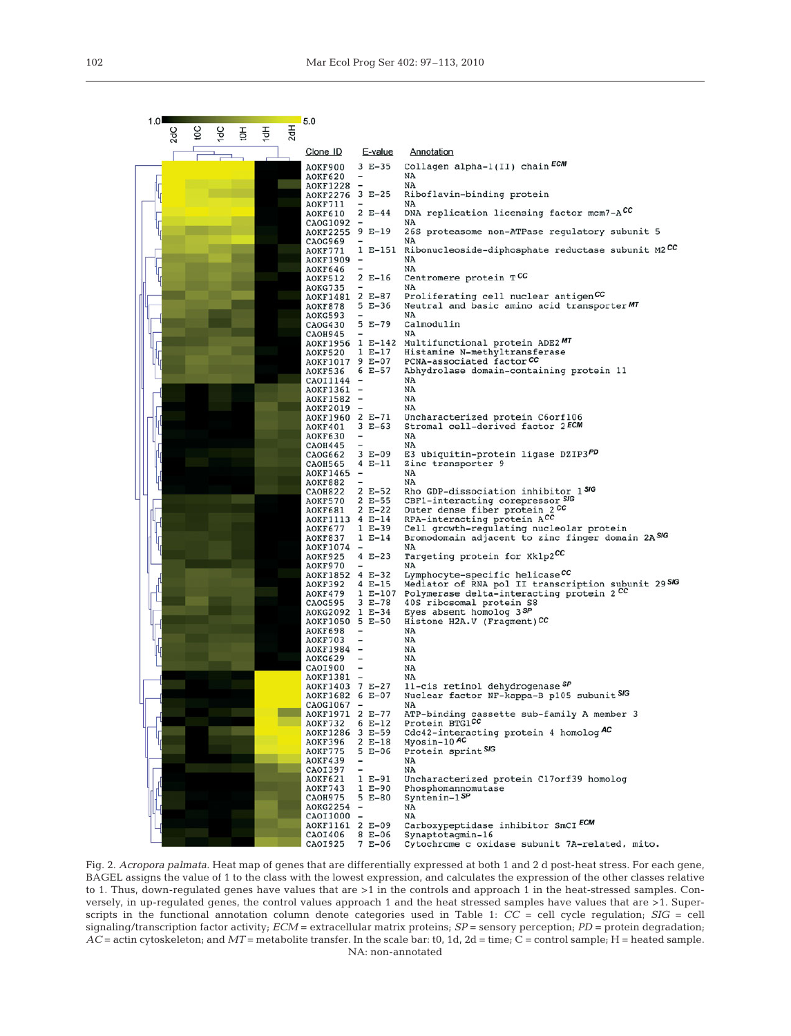| 1.01                                           | 5.0                                                        |                                                                               |
|------------------------------------------------|------------------------------------------------------------|-------------------------------------------------------------------------------|
| 2dH<br>Эo<br>2dC<br>1dC<br>$\frac{1}{2}$<br>Ŧо |                                                            |                                                                               |
|                                                | Clone ID<br>E-value                                        | Annotation                                                                    |
|                                                | $3 E-35$<br>AOKF900                                        | Collagen alpha-1(II) chain ECM                                                |
|                                                | AOKF620<br><b>AOKF1228</b><br>$\overline{\phantom{0}}$     | NA<br>NA                                                                      |
| 4                                              | AOKF2276 3 E-25                                            | Riboflavin-binding protein                                                    |
|                                                | AOKF711<br>$2 E-44$<br>AOKF610                             | NA<br>DNA replication licensing factor mcm7-ACC                               |
|                                                | CAOG1092                                                   | NA                                                                            |
|                                                | $9 E-19$<br>AOKF2255<br>CAOG969                            | 26S proteasome non-ATPase regulatory subunit 5<br>NA                          |
|                                                | AOKF771                                                    | 1 E-151 Ribonucleoside-diphosphate reductase subunit M2CC                     |
|                                                | AOKF1909 -<br>AOKF646                                      | NA<br>NA                                                                      |
|                                                | $2 E-16$<br><b>AOKF512</b>                                 | Centromere protein TCC                                                        |
|                                                | AOKG735<br>AOKF1481 2 E-87                                 | NA<br>Proliferating cell nuclear antigenCC                                    |
|                                                | $5 E-36$<br>AOKF878                                        | Neutral and basic amino acid transporter MT                                   |
|                                                | AOKG593<br>5 E-79<br>CAOG430                               | NA<br>Calmodulin                                                              |
|                                                | <b>CAOH945</b>                                             | NA<br>AOKF1956 1 E-142 Multifunctional protein ADE2MT                         |
|                                                | $1 E-17$<br>AOKF520                                        | Histamine N-methyltransferase                                                 |
|                                                | AOKF1017 9 E-07<br>$6E - 57$<br><b>AOKF536</b>             | PCNA-associated factor CC<br>Abhydrolase domain-containing protein 11         |
|                                                | CAOI1144<br>$\overline{\phantom{a}}$                       | NA                                                                            |
|                                                | AOKF1361 -<br>AOKF1582                                     | NA<br>NA                                                                      |
|                                                | AOKF2019<br>$\overline{\phantom{0}}$                       | NA                                                                            |
|                                                | AOKF1960 2 E-71<br>$3 E-63$<br>AOKF401                     | Uncharacterized protein C6orf106<br>Stromal cell-derived factor 2ECM          |
|                                                | AOKF630<br>-                                               | NA                                                                            |
|                                                | <b>CAOH445</b><br>$3 E-09$<br>CA0G662                      | NA<br>E3 ubiquitin-protein ligase DZIP3PD                                     |
|                                                | $4 E-11$<br>CAOH565                                        | Zinc transporter 9<br>NA                                                      |
|                                                | AOKF1465 -<br>AOKF882                                      | NA                                                                            |
|                                                | $2 E-52$<br>CAOH822<br>$2 E-55$<br>AOKF570                 | Rho GDP-dissociation inhibitor 150G<br>CBF1-interacting corepressor SIG       |
|                                                | $2 E-22$<br>AOKF681                                        | Outer dense fiber protein 2CC                                                 |
|                                                | AOKF1113 4 E-14<br>$1 E-39$<br>AOKF677                     | RPA-interacting protein ACC<br>Cell growth-regulating nucleolar protein       |
|                                                | AOKF837<br>$1 E-14$                                        | Bromodomain adjacent to zinc finger domain 2ASIG                              |
|                                                | AOKF1074 -<br>$4 E-23$<br>AOKF925                          | NA<br>Targeting protein for Xklp2CC                                           |
|                                                | AOKF970<br>AOKF1852 4 E-32                                 | NA<br>Lymphocyte-specific helicaseCC                                          |
|                                                | $4 E-15$<br>AOKF392                                        | Mediator of RNA pol II transcription subunit 29 SIG                           |
|                                                | AOKF479<br>$3 E-78$<br>CAOG595                             | 1 E-107 Polymerase delta-interacting protein 2 CC<br>40S ribosomal protein S8 |
|                                                | AOKG2092 1 E-34                                            | Eyes absent homolog 3SP                                                       |
|                                                | AOKF1050 5 E-50<br>AOKF698                                 | Histone H2A.V (Fragment)CC<br>NA                                              |
|                                                | AOKF703                                                    | NA                                                                            |
|                                                | AOKF1984 -<br>AOKG629                                      | NA<br>NA                                                                      |
|                                                | CAOI900<br>-<br>AOKF1381 -                                 | NA<br>NA                                                                      |
|                                                | AOKF1403 7 E-27                                            | 11-cis retinol dehydrogenase SP                                               |
|                                                | AOKF1682 6 E-07<br>CAOG1067 -                              | Nuclear factor NF-kappa-B p105 subunit SIG<br>NA                              |
|                                                | AOKF1971 2 E-77                                            | ATP-binding cassette sub-family A member 3                                    |
|                                                | $6 E-12$<br>AOKF732<br>AOKF1286 3 E-59                     | Protein BTG1CC<br>Cdc42-interacting protein 4 homolog AC                      |
|                                                | $2 E-18$<br>AOKF396                                        | $Myosin-10$ AC                                                                |
|                                                | $5 E-06$<br>AOKF775<br>AOKF439<br>$\overline{\phantom{a}}$ | Protein sprint SIG<br>NA                                                      |
|                                                | CAOI397<br>AOKF621<br>$1 E-91$                             | NA<br>Uncharacterized protein C17orf39 homolog                                |
|                                                | AOKF743<br>$1 E-90$                                        | Phosphomannomutase                                                            |
|                                                | CAOH975<br>$5 E-80$<br>AOKG2254                            | $Syntenin-1$ <sup>SP</sup><br>NA                                              |
|                                                | CAOI1000 -                                                 | NA                                                                            |
|                                                | AOKF1161 2 E-09<br>CA01406<br>$8 E-06$                     | Carboxypeptidase inhibitor SmCI ECM<br>Synaptotagmin-16                       |
|                                                | CAOI925<br>$7 E-06$                                        | Cytochrome c oxidase subunit 7A-related, mito.                                |

Fig. 2. *Acropora palmata*. Heat map of genes that are differentially expressed at both 1 and 2 d post-heat stress. For each gene, BAGEL assigns the value of 1 to the class with the lowest expression, and calculates the expression of the other classes relative to 1. Thus, down-regulated genes have values that are >1 in the controls and approach 1 in the heat-stressed samples. Conversely, in up-regulated genes, the control values approach 1 and the heat stressed samples have values that are >1. Superscripts in the functional annotation column denote categories used in Table 1: *CC* = cell cycle regulation; *SIG* = cell signaling/transcription factor activity; *ECM* = extracellular matrix proteins; *SP* = sensory perception; *PD* = protein degradation;  $AC = \text{actin cytoskeleton}$ ; and  $MT = \text{metabolic transfer}$ . In the scale bar: t0, 1d, 2d = time;  $\hat{C} = \text{control sample}$ ; H = heated sample. NA: non-annotated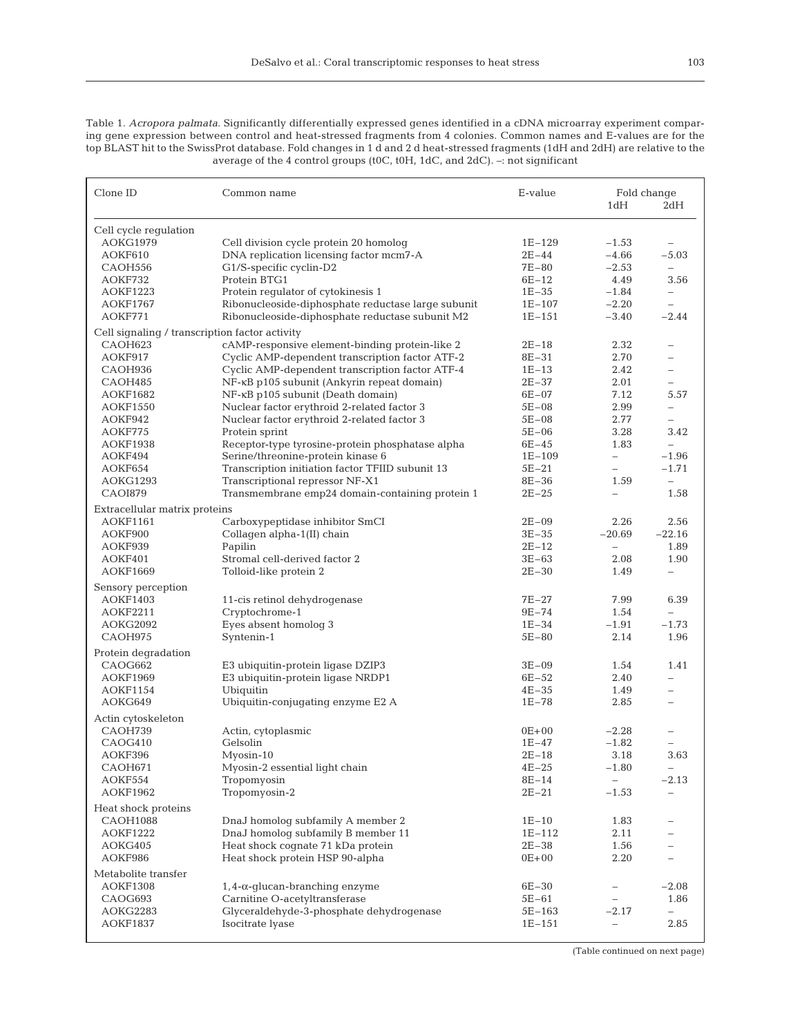Table 1. *Acropora palmata*. Significantly differentially expressed genes identified in a cDNA microarray experiment comparing gene expression between control and heat-stressed fragments from 4 colonies. Common names and E-values are for the top BLAST hit to the SwissProt database. Fold changes in 1 d and 2 d heat-stressed fragments (1dH and 2dH) are relative to the average of the 4 control groups (t0C, t0H, 1dC, and 2dC). –: not significant

| Clone ID                                       | Common name                                                                           | E-value<br>Fold change<br>1dH<br>2dH |                          |                                     |  |  |
|------------------------------------------------|---------------------------------------------------------------------------------------|--------------------------------------|--------------------------|-------------------------------------|--|--|
| Cell cycle regulation                          |                                                                                       |                                      |                          |                                     |  |  |
| AOKG1979                                       | Cell division cycle protein 20 homolog                                                | $1E-129$                             | $-1.53$                  | $\qquad \qquad -$                   |  |  |
| AOKF610                                        | DNA replication licensing factor mcm7-A                                               | $2E - 44$                            | $-4.66$                  | $-5.03$                             |  |  |
| CAOH556                                        | G1/S-specific cyclin-D2                                                               | 7E-80                                | $-2.53$                  | $\equiv$                            |  |  |
| AOKF732                                        | Protein BTG1                                                                          | $6E-12$                              | 4.49                     | 3.56                                |  |  |
| <b>AOKF1223</b>                                | Protein regulator of cytokinesis 1                                                    | $1E - 35$                            | $-1.84$                  | ÷                                   |  |  |
| <b>AOKF1767</b>                                | Ribonucleoside-diphosphate reductase large subunit                                    | $1E-107$                             | $-2.20$                  | $\overline{\phantom{0}}$            |  |  |
| AOKF771                                        | Ribonucleoside-diphosphate reductase subunit M2                                       | $1E-151$                             | $-3.40$                  | $-2.44$                             |  |  |
| Cell signaling / transcription factor activity |                                                                                       |                                      |                          |                                     |  |  |
| CAOH623                                        | cAMP-responsive element-binding protein-like 2                                        | $2E-18$                              | 2.32                     |                                     |  |  |
| AOKF917                                        | Cyclic AMP-dependent transcription factor ATF-2                                       | $8E - 31$                            | 2.70                     | $\overline{\phantom{0}}$            |  |  |
| CAOH936                                        | Cyclic AMP-dependent transcription factor ATF-4                                       | $1E-13$                              | 2.42                     | $\overline{\phantom{0}}$            |  |  |
| CAOH485                                        | NF-KB p105 subunit (Ankyrin repeat domain)                                            | $2E - 37$                            | 2.01                     | $\overline{\phantom{0}}$            |  |  |
| <b>AOKF1682</b>                                | NF-κB p105 subunit (Death domain)                                                     | $6E - 07$                            | 7.12                     | 5.57                                |  |  |
| <b>AOKF1550</b>                                | Nuclear factor erythroid 2-related factor 3                                           | $5E - 08$                            | 2.99                     | $\overline{\phantom{0}}$            |  |  |
| AOKF942                                        | Nuclear factor erythroid 2-related factor 3                                           | $5E - 08$                            | 2.77                     |                                     |  |  |
| AOKF775                                        | Protein sprint                                                                        | $5E-06$                              | 3.28                     | 3.42                                |  |  |
| <b>AOKF1938</b>                                |                                                                                       | $6E - 45$                            | 1.83                     |                                     |  |  |
|                                                | Receptor-type tyrosine-protein phosphatase alpha<br>Serine/threonine-protein kinase 6 |                                      |                          | $\overline{\phantom{0}}$<br>$-1.96$ |  |  |
| AOKF494                                        |                                                                                       | $1E-109$                             | $\overline{\phantom{0}}$ |                                     |  |  |
| AOKF654                                        | Transcription initiation factor TFIID subunit 13                                      | 5E-21                                | $\overline{\phantom{0}}$ | $-1.71$                             |  |  |
| AOKG1293                                       | Transcriptional repressor NF-X1                                                       | $8E - 36$                            | 1.59                     | ÷.                                  |  |  |
| CAOI879                                        | Transmembrane emp24 domain-containing protein 1                                       | $2E - 25$                            |                          | 1.58                                |  |  |
| Extracellular matrix proteins                  |                                                                                       |                                      |                          |                                     |  |  |
| AOKF1161                                       | Carboxypeptidase inhibitor SmCI                                                       | $2E - 09$                            | 2.26                     | 2.56                                |  |  |
| AOKF900                                        | Collagen alpha-1(II) chain                                                            | $3E - 35$                            | $-20.69$                 | $-22.16$                            |  |  |
| AOKF939                                        | Papilin                                                                               | $2E-12$                              | $\overline{\phantom{0}}$ | 1.89                                |  |  |
| AOKF401                                        | Stromal cell-derived factor 2                                                         | $3E-63$                              | 2.08                     | 1.90                                |  |  |
| AOKF1669                                       | Tolloid-like protein 2                                                                | $2E - 30$                            | 1.49                     | -                                   |  |  |
| Sensory perception                             |                                                                                       |                                      |                          |                                     |  |  |
| <b>AOKF1403</b>                                | 11-cis retinol dehydrogenase                                                          | $7E-27$                              | 7.99                     | 6.39                                |  |  |
| <b>AOKF2211</b>                                | Cryptochrome-1                                                                        | $9E - 74$                            | 1.54                     | $\equiv$                            |  |  |
| AOKG2092                                       | Eyes absent homolog 3                                                                 | $1E - 34$                            | $-1.91$                  | $-1.73$                             |  |  |
| CAOH975                                        | Syntenin-1                                                                            | $5E - 80$                            | 2.14                     | 1.96                                |  |  |
| Protein degradation                            |                                                                                       |                                      |                          |                                     |  |  |
| CAOG662                                        | E3 ubiquitin-protein ligase DZIP3                                                     | $3E-09$                              | 1.54                     | 1.41                                |  |  |
| <b>AOKF1969</b>                                | E3 ubiquitin-protein ligase NRDP1                                                     | $6E - 52$                            | 2.40                     |                                     |  |  |
| <b>AOKF1154</b>                                | Ubiquitin                                                                             | $4E - 35$                            | 1.49                     | $\equiv$                            |  |  |
| AOKG649                                        | Ubiquitin-conjugating enzyme E2 A                                                     | $1E - 78$                            | 2.85                     |                                     |  |  |
| Actin cytoskeleton                             |                                                                                       |                                      |                          |                                     |  |  |
| CAOH739                                        | Actin, cytoplasmic                                                                    | $0E + 00$                            | $-2.28$                  |                                     |  |  |
| CAOG410                                        | Gelsolin                                                                              | $1E - 47$                            | $-1.82$                  | $\equiv$                            |  |  |
| AOKF396                                        | Myosin-10                                                                             | $2E-18$                              | 3.18                     | 3.63                                |  |  |
| CAOH671                                        | Myosin-2 essential light chain                                                        | 4E-25                                | $-1.80$                  |                                     |  |  |
| AOKF554                                        | Tropomyosin                                                                           | $8E - 14$                            | $\overline{\phantom{0}}$ | $-2.13$                             |  |  |
| AOKF1962                                       | Tropomyosin-2                                                                         | $2E - 21$                            | $-1.53$                  | $\qquad \qquad -$                   |  |  |
| Heat shock proteins                            |                                                                                       |                                      |                          |                                     |  |  |
| CAOH1088                                       | DnaJ homolog subfamily A member 2                                                     | $1E - 10$                            | 1.83                     |                                     |  |  |
| <b>AOKF1222</b>                                | DnaJ homolog subfamily B member 11                                                    | $1E-112$                             | 2.11                     |                                     |  |  |
| AOKG405                                        | Heat shock cognate 71 kDa protein                                                     | $2E - 38$                            | 1.56                     |                                     |  |  |
| AOKF986                                        | Heat shock protein HSP 90-alpha                                                       | $0E + 00$                            | 2.20                     |                                     |  |  |
| Metabolite transfer                            |                                                                                       |                                      |                          |                                     |  |  |
| <b>AOKF1308</b>                                | $1, 4$ - $\alpha$ -glucan-branching enzyme                                            | $6E - 30$                            | $\qquad \qquad -$        | $-2.08$                             |  |  |
| CAOG693                                        | Carnitine O-acetyltransferase                                                         | $5E-61$                              | $\overline{\phantom{a}}$ | 1.86                                |  |  |
| AOKG2283                                       | Glyceraldehyde-3-phosphate dehydrogenase                                              | 5E-163                               | $-2.17$                  |                                     |  |  |
| AOKF1837                                       | Isocitrate lyase                                                                      | $1E-151$                             | $\overline{\phantom{0}}$ | 2.85                                |  |  |
|                                                |                                                                                       |                                      |                          |                                     |  |  |

(Table continued on next page)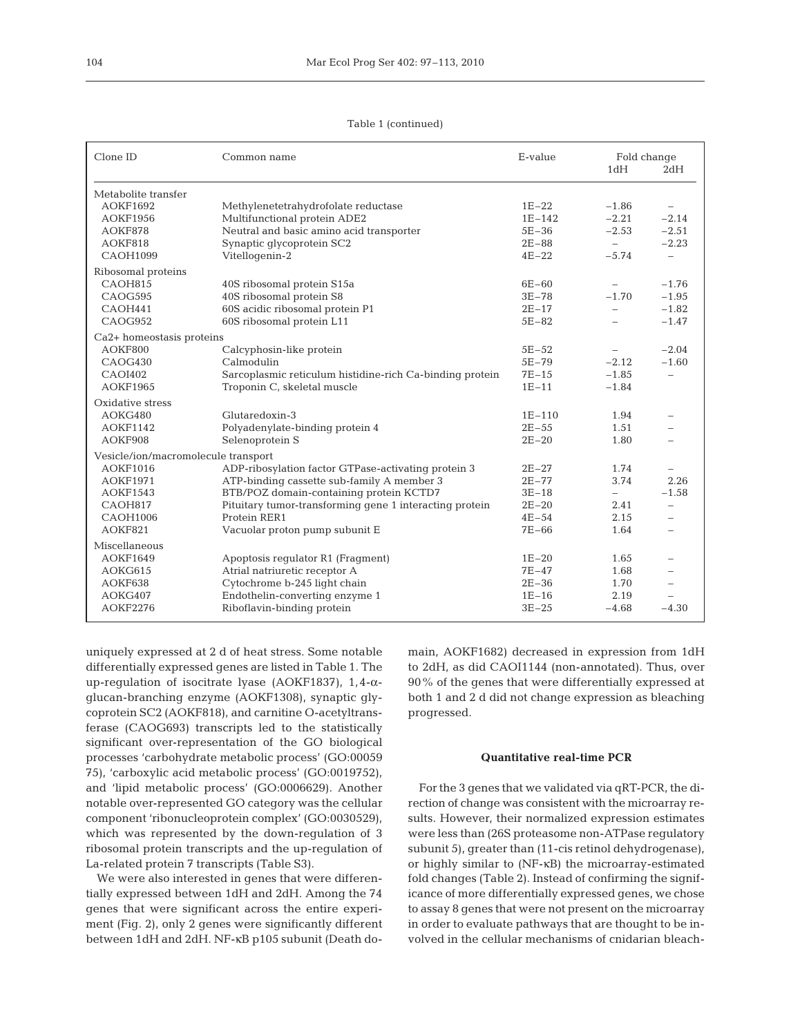| Clone ID                               | Common name                                              | E-value   | Fold change<br>1dH<br>2dH |                          |
|----------------------------------------|----------------------------------------------------------|-----------|---------------------------|--------------------------|
|                                        |                                                          |           |                           |                          |
| Metabolite transfer<br><b>AOKF1692</b> | Methylenetetrahydrofolate reductase                      | $1E-22$   | $-1.86$                   |                          |
| <b>AOKF1956</b>                        | Multifunctional protein ADE2                             | $1E-142$  | $-2.21$                   | $-2.14$                  |
| AOKF878                                | Neutral and basic amino acid transporter                 | $5E-36$   | $-2.53$                   | $-2.51$                  |
| AOKF818                                | Synaptic glycoprotein SC2                                | $2E - 88$ | $\overline{\phantom{0}}$  | $-2.23$                  |
| <b>CAOH1099</b>                        | Vitellogenin-2                                           | $4E-22$   | $-5.74$                   | $\overline{\phantom{0}}$ |
| Ribosomal proteins                     |                                                          |           |                           |                          |
| CAOH815                                | 40S ribosomal protein S15a                               | $6E - 60$ |                           | $-1.76$                  |
| CAOG595                                | 40S ribosomal protein S8                                 | $3E - 78$ | $-1.70$                   | $-1.95$                  |
| CAOH441                                | 60S acidic ribosomal protein P1                          | $2E-17$   | $\equiv$                  | $-1.82$                  |
| CAOG952                                | 60S ribosomal protein L11                                | $5E-82$   | ÷                         | $-1.47$                  |
| Ca2+ homeostasis proteins              |                                                          |           |                           |                          |
| AOKF800                                | Calcyphosin-like protein                                 | $5E - 52$ |                           | $-2.04$                  |
| CAOG430                                | Calmodulin                                               | $5E - 79$ | $-2.12$                   | $-1.60$                  |
| CAOI402                                | Sarcoplasmic reticulum histidine-rich Ca-binding protein | $7E-15$   | $-1.85$                   | $\overline{\phantom{0}}$ |
| <b>AOKF1965</b>                        | Troponin C, skeletal muscle                              | $1E-11$   | $-1.84$                   |                          |
| Oxidative stress                       |                                                          |           |                           |                          |
| AOKG480                                | Glutaredoxin-3                                           | $1E-110$  | 1.94                      | $\overline{\phantom{0}}$ |
| <b>AOKF1142</b>                        | Polyadenylate-binding protein 4                          | $2E - 55$ | 1.51                      |                          |
| AOKF908                                | Selenoprotein S                                          | $2E - 20$ | 1.80                      |                          |
| Vesicle/ion/macromolecule transport    |                                                          |           |                           |                          |
| <b>AOKF1016</b>                        | ADP-ribosylation factor GTPase-activating protein 3      | $2E-27$   | 1.74                      | $\overline{\phantom{0}}$ |
| <b>AOKF1971</b>                        | ATP-binding cassette sub-family A member 3               | $2E - 77$ | 3.74                      | 2.26                     |
| <b>AOKF1543</b>                        | BTB/POZ domain-containing protein KCTD7                  | $3E-18$   | $\overline{\phantom{0}}$  | $-1.58$                  |
| CAOH817                                | Pituitary tumor-transforming gene 1 interacting protein  | $2E - 20$ | 2.41                      | $\overline{\phantom{0}}$ |
| <b>CAOH1006</b>                        | Protein RER1                                             | $4E - 54$ | 2.15                      | $\overline{\phantom{0}}$ |
| AOKF821                                | Vacuolar proton pump subunit E                           | $7E-66$   | 1.64                      | $\overline{\phantom{0}}$ |
| Miscellaneous                          |                                                          |           |                           |                          |
| <b>AOKF1649</b>                        | Apoptosis regulator R1 (Fragment)                        | $1E-20$   | 1.65                      |                          |
| AOKG615                                | Atrial natriuretic receptor A                            | $7E - 47$ | 1.68                      |                          |
| AOKF638                                | Cytochrome b-245 light chain                             | $2E - 36$ | 1.70                      |                          |
| AOKG407                                | Endothelin-converting enzyme 1                           | $1E-16$   | 2.19                      |                          |

AOKG407 Endothelin-converting enzyme 1 1E–16 2.19 –

Table 1 (continued)

uniquely expressed at 2 d of heat stress. Some notable differentially expressed genes are listed in Table 1. The up-regulation of isocitrate lyase (AOKF1837), 1,4-αglucan-branching enzyme (AOKF1308), synaptic glycoprotein SC2 (AOKF818), and carnitine O-acetyltransferase (CAOG693) transcripts led to the statistically significant over-representation of the GO biological processes 'carbohydrate metabolic process' (GO:00059 75), 'carboxylic acid metabolic process' (GO:0019752), and 'lipid metabolic process' (GO:0006629). Another notable over-represented GO category was the cellular component 'ribonucleoprotein complex' (GO:0030529), which was represented by the down-regulation of 3 ribosomal protein transcripts and the up-regulation of La-related protein 7 transcripts (Table S3).

Riboflavin-binding protein

We were also interested in genes that were differentially expressed between 1dH and 2dH. Among the 74 genes that were significant across the entire experiment (Fig. 2), only 2 genes were significantly different between 1dH and 2dH. NF-κB p105 subunit (Death do-

main, AOKF1682) decreased in expression from 1dH to 2dH, as did CAOI1144 (non-annotated). Thus, over 90% of the genes that were differentially expressed at both 1 and 2 d did not change expression as bleaching progressed.

#### **Quantitative real-time PCR**

For the 3 genes that we validated via qRT-PCR, the direction of change was consistent with the microarray results. However, their normalized expression estimates were less than (26S proteasome non-ATPase regulatory subunit 5), greater than (11-cis retinol dehydrogenase), or highly similar to (NF-κB) the microarray-estimated fold changes (Table 2). Instead of confirming the significance of more differentially expressed genes, we chose to assay 8 genes that were not present on the microarray in order to evaluate pathways that are thought to be involved in the cellular mechanisms of cnidarian bleach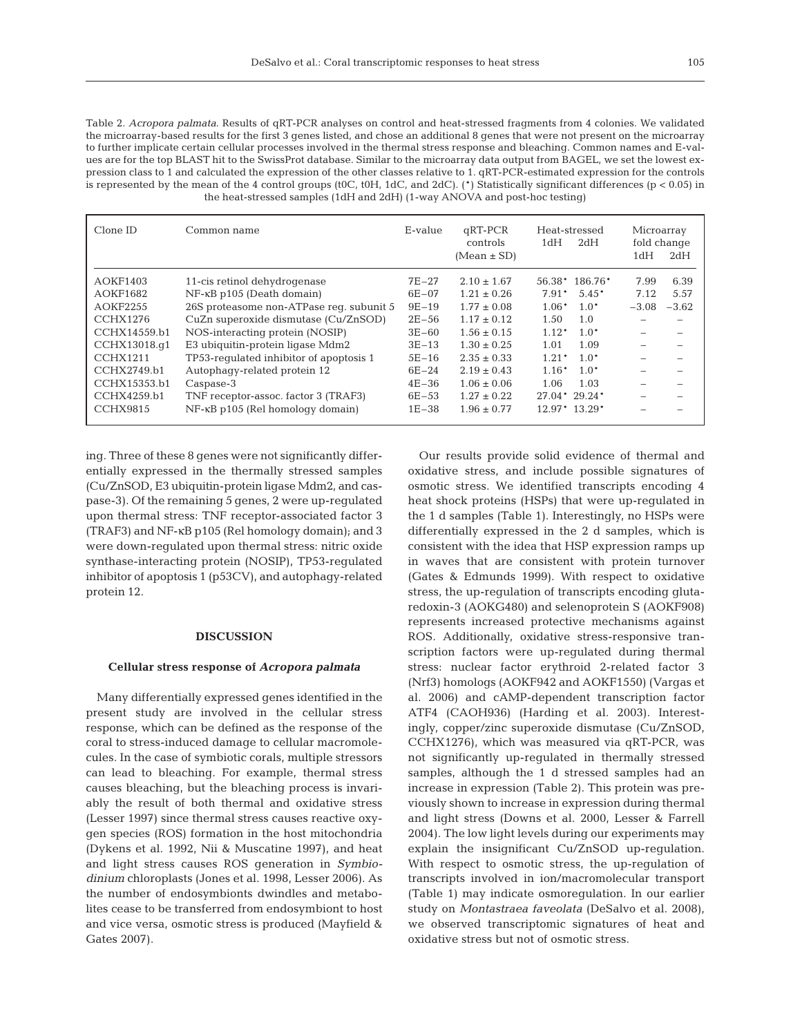Table 2. *Acropora palmata*. Results of qRT-PCR analyses on control and heat-stressed fragments from 4 colonies. We validated the microarray-based results for the first 3 genes listed, and chose an additional 8 genes that were not present on the microarray to further implicate certain cellular processes involved in the thermal stress response and bleaching. Common names and E-values are for the top BLAST hit to the SwissProt database. Similar to the microarray data output from BAGEL, we set the lowest expression class to 1 and calculated the expression of the other classes relative to 1. qRT-PCR-estimated expression for the controls is represented by the mean of the 4 control groups (t0C, t0H, 1dC, and 2dC). (\*) Statistically significant differences ( $p < 0.05$ ) in the heat-stressed samples (1dH and 2dH) (1-way ANOVA and post-hoc testing)

| Clone ID                                                                                                                       | Common name                                                                                                                                                                                                                                                                                                              | E-value                                                                                               | $qRT-PCR$<br>controls<br>$(Mean \pm SD)$                                                                                                                                | Heat-stressed<br>1dH<br>2dH                                                                                                                                             | Microarray<br>fold change<br>1dH<br>2dH            |
|--------------------------------------------------------------------------------------------------------------------------------|--------------------------------------------------------------------------------------------------------------------------------------------------------------------------------------------------------------------------------------------------------------------------------------------------------------------------|-------------------------------------------------------------------------------------------------------|-------------------------------------------------------------------------------------------------------------------------------------------------------------------------|-------------------------------------------------------------------------------------------------------------------------------------------------------------------------|----------------------------------------------------|
| AOKF1403<br>AOKF1682<br>AOKF2255<br>CCHX1276<br>CCHX14559.b1<br>CCHX13018.q1<br><b>CCHX1211</b><br>CCHX2749.b1<br>CCHX15353.b1 | 11-cis retinol dehydrogenase<br>$NF$ - $\kappa$ B p105 (Death domain)<br>26S proteasome non-ATPase req. subunit 5<br>CuZn superoxide dismutase (Cu/ZnSOD)<br>NOS-interacting protein (NOSIP)<br>E3 ubiquitin-protein ligase Mdm2<br>TP53-regulated inhibitor of apoptosis 1<br>Autophagy-related protein 12<br>Caspase-3 | $7E-27$<br>$6E - 07$<br>$9E-19$<br>$2E - 56$<br>$3E-60$<br>$3E-13$<br>$5E-16$<br>$6E-24$<br>$4E - 36$ | $2.10 \pm 1.67$<br>$1.21 \pm 0.26$<br>$1.77 \pm 0.08$<br>$1.17 \pm 0.12$<br>$1.56 \pm 0.15$<br>$1.30 \pm 0.25$<br>$2.35 \pm 0.33$<br>$2.19 \pm 0.43$<br>$1.06 \pm 0.06$ | 56.38* 186.76*<br>$5.45*$<br>$7.91*$<br>$1.0*$<br>$1.06*$<br>1.0<br>1.50<br>$1.12*$<br>$1.0*$<br>1.09<br>1.01<br>$1.0*$<br>$1.21*$<br>$1.16*$<br>$1.0*$<br>1.06<br>1.03 | 6.39<br>7.99<br>5.57<br>7.12<br>$-3.08$<br>$-3.62$ |
| CCHX4259.b1<br>CCHX9815                                                                                                        | TNF receptor-assoc. factor 3 (TRAF3)<br>$NF$ - $\kappa$ B p105 (Rel homology domain)                                                                                                                                                                                                                                     | $6E - 53$<br>$1E - 38$                                                                                | $1.27 \pm 0.22$<br>$1.96 \pm 0.77$                                                                                                                                      | $27.04*29.24*$<br>$12.97*13.29*$                                                                                                                                        |                                                    |

ing. Three of these 8 genes were not significantly differentially expressed in the thermally stressed samples (Cu/ZnSOD, E3 ubiquitin-protein ligase Mdm2, and caspase-3). Of the remaining 5 genes, 2 were up-regulated upon thermal stress: TNF receptor-associated factor 3 (TRAF3) and NF-κB p105 (Rel homology domain); and 3 were down-regulated upon thermal stress: nitric oxide synthase-interacting protein (NOSIP), TP53-regulated inhibitor of apoptosis 1 (p53CV), and autophagy-related protein 12.

## **DISCUSSION**

#### **Cellular stress response of** *Acropora palmata*

Many differentially expressed genes identified in the present study are involved in the cellular stress response, which can be defined as the response of the coral to stress-induced damage to cellular macromolecules. In the case of symbiotic corals, multiple stressors can lead to bleaching. For example, thermal stress causes bleaching, but the bleaching process is invariably the result of both thermal and oxidative stress (Lesser 1997) since thermal stress causes reactive oxygen species (ROS) formation in the host mitochondria (Dykens et al. 1992, Nii & Muscatine 1997), and heat and light stress causes ROS generation in *Symbiodinium* chloroplasts (Jones et al. 1998, Lesser 2006). As the number of endosymbionts dwindles and metabolites cease to be transferred from endosymbiont to host and vice versa, osmotic stress is produced (Mayfield & Gates 2007).

Our results provide solid evidence of thermal and oxidative stress, and include possible signatures of osmotic stress. We identified transcripts encoding 4 heat shock proteins (HSPs) that were up-regulated in the 1 d samples (Table 1). Interestingly, no HSPs were differentially expressed in the 2 d samples, which is consistent with the idea that HSP expression ramps up in waves that are consistent with protein turnover (Gates & Edmunds 1999). With respect to oxidative stress, the up-regulation of transcripts encoding glutaredoxin-3 (AOKG480) and selenoprotein S (AOKF908) represents increased protective mechanisms against ROS. Additionally, oxidative stress-responsive transcription factors were up-regulated during thermal stress: nuclear factor erythroid 2-related factor 3 (Nrf3) homologs (AOKF942 and AOKF1550) (Vargas et al. 2006) and cAMP-dependent transcription factor ATF4 (CAOH936) (Harding et al. 2003). Interestingly, copper/zinc superoxide dismutase (Cu/ZnSOD, CCHX1276), which was measured via qRT-PCR, was not significantly up-regulated in thermally stressed samples, although the 1 d stressed samples had an increase in expression (Table 2). This protein was previously shown to increase in expression during thermal and light stress (Downs et al. 2000, Lesser & Farrell 2004). The low light levels during our experiments may explain the insignificant Cu/ZnSOD up-regulation. With respect to osmotic stress, the up-regulation of transcripts involved in ion/macromolecular transport (Table 1) may indicate osmoregulation. In our earlier study on *Montastraea faveolata* (DeSalvo et al. 2008), we observed transcriptomic signatures of heat and oxidative stress but not of osmotic stress.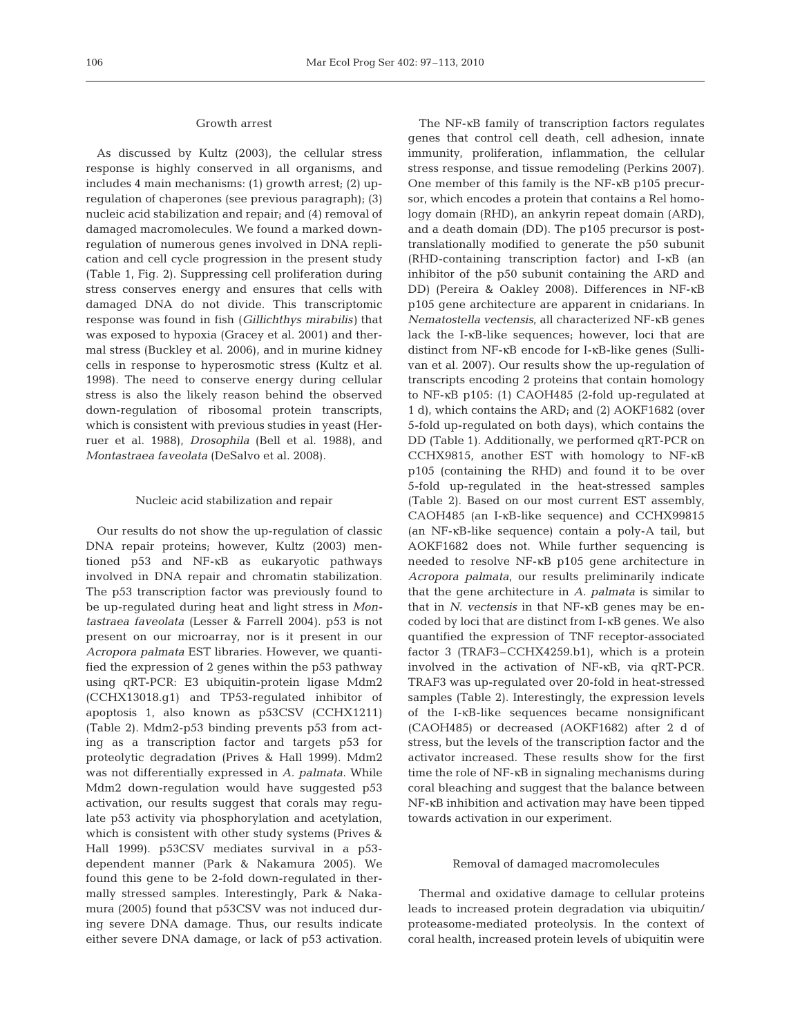## Growth arrest

As discussed by Kultz (2003), the cellular stress response is highly conserved in all organisms, and includes 4 main mechanisms: (1) growth arrest; (2) upregulation of chaperones (see previous paragraph); (3) nucleic acid stabilization and repair; and (4) removal of damaged macromolecules. We found a marked downregulation of numerous genes involved in DNA replication and cell cycle progression in the present study (Table 1, Fig. 2). Suppressing cell proliferation during stress conserves energy and ensures that cells with damaged DNA do not divide. This transcriptomic response was found in fish (*Gillichthys mirabilis)* that was exposed to hypoxia (Gracey et al. 2001) and thermal stress (Buckley et al. 2006), and in murine kidney cells in response to hyperosmotic stress (Kultz et al. 1998). The need to conserve energy during cellular stress is also the likely reason behind the observed down-regulation of ribosomal protein transcripts, which is consistent with previous studies in yeast (Herruer et al. 1988), *Drosophila* (Bell et al. 1988), and *Montastraea faveolata* (DeSalvo et al. 2008).

#### Nucleic acid stabilization and repair

Our results do not show the up-regulation of classic DNA repair proteins; however, Kultz (2003) mentioned p53 and NF-κB as eukaryotic pathways involved in DNA repair and chromatin stabilization. The p53 transcription factor was previously found to be up-regulated during heat and light stress in *Montastraea faveolata* (Lesser & Farrell 2004). p53 is not present on our microarray, nor is it present in our *Acropora palmata* EST libraries. However, we quantified the expression of 2 genes within the p53 pathway using qRT-PCR: E3 ubiquitin-protein ligase Mdm2 (CCHX13018.g1) and TP53-regulated inhibitor of apoptosis 1, also known as p53CSV (CCHX1211) (Table 2). Mdm2-p53 binding prevents p53 from acting as a transcription factor and targets p53 for proteolytic degradation (Prives & Hall 1999). Mdm2 was not differentially expressed in *A. palmata*. While Mdm2 down-regulation would have suggested p53 activation, our results suggest that corals may regulate p53 activity via phosphorylation and acetylation, which is consistent with other study systems (Prives & Hall 1999). p53CSV mediates survival in a p53 dependent manner (Park & Nakamura 2005). We found this gene to be 2-fold down-regulated in thermally stressed samples. Interestingly, Park & Nakamura (2005) found that p53CSV was not induced during severe DNA damage. Thus, our results indicate either severe DNA damage, or lack of p53 activation.

The NF-κB family of transcription factors regulates genes that control cell death, cell adhesion, innate immunity, proliferation, inflammation, the cellular stress response, and tissue remodeling (Perkins 2007). One member of this family is the NF-κB p105 precursor, which encodes a protein that contains a Rel homology domain (RHD), an ankyrin repeat domain (ARD), and a death domain (DD). The p105 precursor is posttranslationally modified to generate the p50 subunit (RHD-containing transcription factor) and I-κB (an inhibitor of the p50 subunit containing the ARD and DD) (Pereira & Oakley 2008). Differences in NF-κB p105 gene architecture are apparent in cnidarians. In *Nematostella vectensis*, all characterized NF-κB genes lack the I-κB-like sequences; however, loci that are distinct from NF-κB encode for I-κB-like genes (Sullivan et al. 2007). Our results show the up-regulation of transcripts encoding 2 proteins that contain homology to NF-κB p105: (1) CAOH485 (2-fold up-regulated at 1 d), which contains the ARD; and (2) AOKF1682 (over 5-fold up-regulated on both days), which contains the DD (Table 1). Additionally, we performed qRT-PCR on CCHX9815, another EST with homology to NF-κB p105 (containing the RHD) and found it to be over 5-fold up-regulated in the heat-stressed samples (Table 2). Based on our most current EST assembly, CAOH485 (an I-κB-like sequence) and CCHX99815 (an NF-κB-like sequence) contain a poly-A tail, but AOKF1682 does not. While further sequencing is needed to resolve NF-κB p105 gene architecture in *Acropora palmata*, our results preliminarily indicate that the gene architecture in *A. palmata* is similar to that in *N. vectensis* in that NF-κB genes may be encoded by loci that are distinct from I-κB genes. We also quantified the expression of TNF receptor-associated factor 3 (TRAF3–CCHX4259.b1), which is a protein involved in the activation of NF-κB, via qRT-PCR. TRAF3 was up-regulated over 20-fold in heat-stressed samples (Table 2). Interestingly, the expression levels of the I-κB-like sequences became nonsignificant (CAOH485) or decreased (AOKF1682) after 2 d of stress, but the levels of the transcription factor and the activator increased. These results show for the first time the role of NF-κB in signaling mechanisms during coral bleaching and suggest that the balance between NF-κB inhibition and activation may have been tipped towards activation in our experiment.

## Removal of damaged macromolecules

Thermal and oxidative damage to cellular proteins leads to increased protein degradation via ubiquitin/ proteasome-mediated proteolysis. In the context of coral health, increased protein levels of ubiquitin were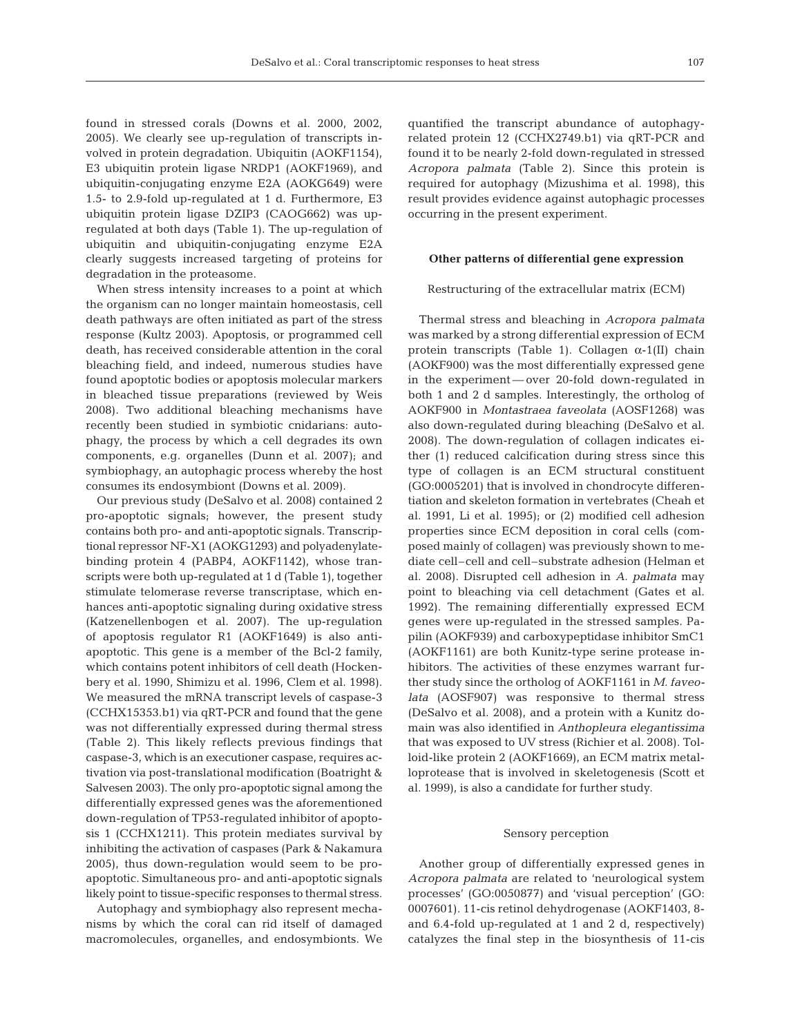found in stressed corals (Downs et al. 2000, 2002, 2005). We clearly see up-regulation of transcripts involved in protein degradation. Ubiquitin (AOKF1154), E3 ubiquitin protein ligase NRDP1 (AOKF1969), and ubiquitin-conjugating enzyme E2A (AOKG649) were 1.5- to 2.9-fold up-regulated at 1 d. Furthermore, E3 ubiquitin protein ligase DZIP3 (CAOG662) was upregulated at both days (Table 1). The up-regulation of ubiquitin and ubiquitin-conjugating enzyme E2A clearly suggests increased targeting of proteins for degradation in the proteasome.

When stress intensity increases to a point at which the organism can no longer maintain homeostasis, cell death pathways are often initiated as part of the stress response (Kultz 2003). Apoptosis, or programmed cell death, has received considerable attention in the coral bleaching field, and indeed, numerous studies have found apoptotic bodies or apoptosis molecular markers in bleached tissue preparations (reviewed by Weis 2008). Two additional bleaching mechanisms have recently been studied in symbiotic cnidarians: autophagy, the process by which a cell degrades its own components, e.g. organelles (Dunn et al. 2007); and symbiophagy, an autophagic process whereby the host consumes its endosymbiont (Downs et al. 2009).

Our previous study (DeSalvo et al. 2008) contained 2 pro-apoptotic signals; however, the present study contains both pro- and anti-apoptotic signals. Transcriptional repressor NF-X1 (AOKG1293) and polyadenylatebinding protein 4 (PABP4, AOKF1142), whose transcripts were both up-regulated at 1 d (Table 1), together stimulate telomerase reverse transcriptase, which enhances anti-apoptotic signaling during oxidative stress (Katzenellenbogen et al. 2007). The up-regulation of apoptosis regulator R1 (AOKF1649) is also antiapoptotic. This gene is a member of the Bcl-2 family, which contains potent inhibitors of cell death (Hockenbery et al. 1990, Shimizu et al. 1996, Clem et al. 1998). We measured the mRNA transcript levels of caspase-3 (CCHX15353.b1) via qRT-PCR and found that the gene was not differentially expressed during thermal stress (Table 2). This likely reflects previous findings that caspase-3, which is an executioner caspase, requires activation via post-translational modification (Boatright & Salvesen 2003). The only pro-apoptotic signal among the differentially expressed genes was the aforementioned down-regulation of TP53-regulated inhibitor of apoptosis 1 (CCHX1211). This protein mediates survival by inhibiting the activation of caspases (Park & Nakamura 2005), thus down-regulation would seem to be proapoptotic. Simultaneous pro- and anti-apoptotic signals likely point to tissue-specific responses to thermal stress.

Autophagy and symbiophagy also represent mechanisms by which the coral can rid itself of damaged macromolecules, organelles, and endosymbionts. We quantified the transcript abundance of autophagyrelated protein 12 (CCHX2749.b1) via qRT-PCR and found it to be nearly 2-fold down-regulated in stressed *Acropora palmata* (Table 2). Since this protein is required for autophagy (Mizushima et al. 1998), this result provides evidence against autophagic processes occurring in the present experiment.

## **Other patterns of differential gene expression**

#### Restructuring of the extracellular matrix (ECM)

Thermal stress and bleaching in *Acropora palmata* was marked by a strong differential expression of ECM protein transcripts (Table 1). Collagen  $\alpha$ -1(II) chain (AOKF900) was the most differentially expressed gene in the experiment — over 20-fold down-regulated in both 1 and 2 d samples. Interestingly, the ortholog of AOKF900 in *Montastraea faveolata* (AOSF1268) was also down-regulated during bleaching (DeSalvo et al. 2008). The down-regulation of collagen indicates either (1) reduced calcification during stress since this type of collagen is an ECM structural constituent (GO:0005201) that is involved in chondrocyte differentiation and skeleton formation in vertebrates (Cheah et al. 1991, Li et al. 1995); or (2) modified cell adhesion properties since ECM deposition in coral cells (composed mainly of collagen) was previously shown to mediate cell–cell and cell–substrate adhesion (Helman et al. 2008). Disrupted cell adhesion in *A. palmata* may point to bleaching via cell detachment (Gates et al. 1992). The remaining differentially expressed ECM genes were up-regulated in the stressed samples. Papilin (AOKF939) and carboxypeptidase inhibitor SmC1 (AOKF1161) are both Kunitz-type serine protease inhibitors. The activities of these enzymes warrant further study since the ortholog of AOKF1161 in *M. faveolata* (AOSF907) was responsive to thermal stress (DeSalvo et al. 2008), and a protein with a Kunitz domain was also identified in *Anthopleura elegantissima* that was exposed to UV stress (Richier et al. 2008). Tolloid-like protein 2 (AOKF1669), an ECM matrix metalloprotease that is involved in skeletogenesis (Scott et al. 1999), is also a candidate for further study.

## Sensory perception

Another group of differentially expressed genes in *Acropora palmata* are related to 'neurological system processes' (GO:0050877) and 'visual perception' (GO: 0007601). 11-cis retinol dehydrogenase (AOKF1403, 8 and 6.4-fold up-regulated at 1 and 2 d, respectively) catalyzes the final step in the biosynthesis of 11-cis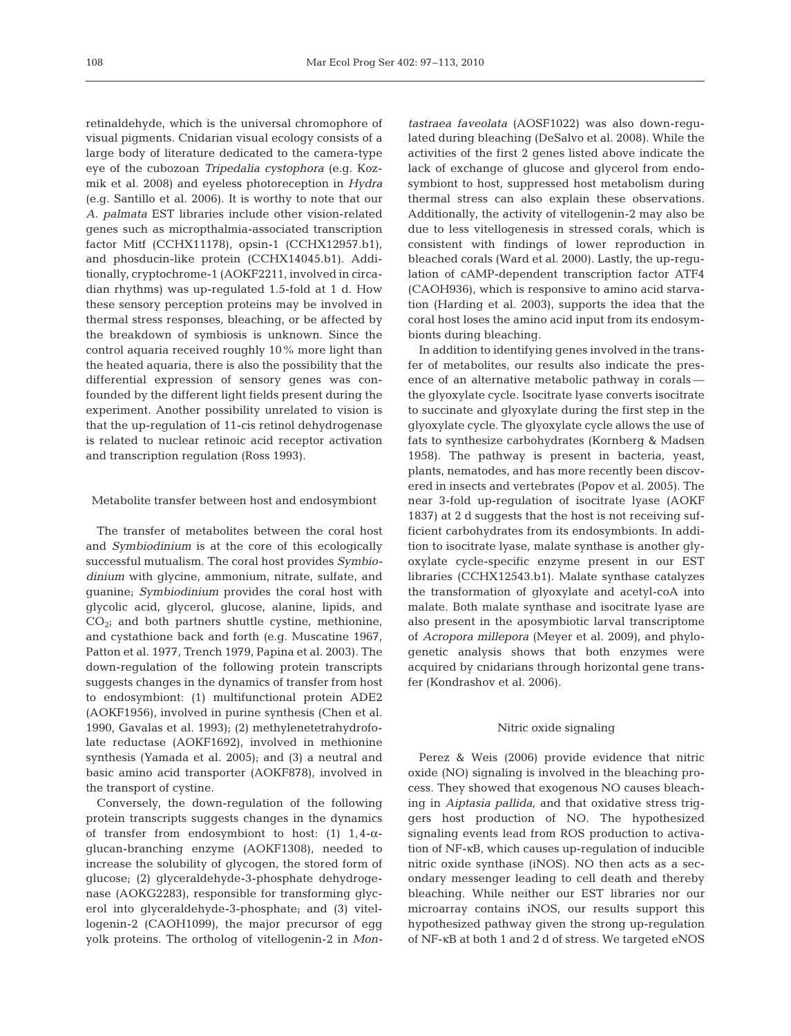retinaldehyde, which is the universal chromophore of visual pigments. Cnidarian visual ecology consists of a large body of literature dedicated to the camera-type eye of the cubozoan *Tripedalia cystophora* (e.g. Kozmik et al. 2008) and eyeless photoreception in *Hydra* (e.g. Santillo et al. 2006). It is worthy to note that our *A. palmata* EST libraries include other vision-related genes such as micropthalmia-associated transcription factor Mitf (CCHX11178), opsin-1 (CCHX12957.b1), and phosducin-like protein (CCHX14045.b1). Additionally, cryptochrome-1 (AOKF2211, involved in circadian rhythms) was up-regulated 1.5-fold at 1 d. How these sensory perception proteins may be involved in thermal stress responses, bleaching, or be affected by the breakdown of symbiosis is unknown. Since the control aquaria received roughly 10% more light than the heated aquaria, there is also the possibility that the differential expression of sensory genes was confounded by the different light fields present during the experiment. Another possibility unrelated to vision is that the up-regulation of 11-cis retinol dehydrogenase is related to nuclear retinoic acid receptor activation and transcription regulation (Ross 1993).

### Metabolite transfer between host and endosymbiont

The transfer of metabolites between the coral host and *Symbiodinium* is at the core of this ecologically successful mutualism. The coral host provides *Symbiodinium* with glycine, ammonium, nitrate, sulfate, and guanine; *Symbiodinium* provides the coral host with glycolic acid, glycerol, glucose, alanine, lipids, and  $CO<sub>2</sub>$ ; and both partners shuttle cystine, methionine, and cystathione back and forth (e.g. Muscatine 1967, Patton et al. 1977, Trench 1979, Papina et al. 2003). The down-regulation of the following protein transcripts suggests changes in the dynamics of transfer from host to endosymbiont: (1) multifunctional protein ADE2 (AOKF1956), involved in purine synthesis (Chen et al. 1990, Gavalas et al. 1993); (2) methylenetetrahydrofolate reductase (AOKF1692), involved in methionine synthesis (Yamada et al. 2005); and (3) a neutral and basic amino acid transporter (AOKF878), involved in the transport of cystine.

Conversely, the down-regulation of the following protein transcripts suggests changes in the dynamics of transfer from endosymbiont to host: (1)  $1,4-\alpha$ glucan-branching enzyme (AOKF1308), needed to increase the solubility of glycogen, the stored form of glucose; (2) glyceraldehyde-3-phosphate dehydrogenase (AOKG2283), responsible for transforming glycerol into glyceraldehyde-3-phosphate; and (3) vitellogenin-2 (CAOH1099), the major precursor of egg yolk proteins. The ortholog of vitellogenin-2 in *Mon-* *tastraea faveolata* (AOSF1022) was also down-regulated during bleaching (DeSalvo et al. 2008). While the activities of the first 2 genes listed above indicate the lack of exchange of glucose and glycerol from endosymbiont to host, suppressed host metabolism during thermal stress can also explain these observations. Additionally, the activity of vitellogenin-2 may also be due to less vitellogenesis in stressed corals, which is consistent with findings of lower reproduction in bleached corals (Ward et al. 2000). Lastly, the up-regulation of cAMP-dependent transcription factor ATF4 (CAOH936), which is responsive to amino acid starvation (Harding et al. 2003), supports the idea that the coral host loses the amino acid input from its endosymbionts during bleaching.

In addition to identifying genes involved in the transfer of metabolites, our results also indicate the presence of an alternative metabolic pathway in corals the glyoxylate cycle. Isocitrate lyase converts isocitrate to succinate and glyoxylate during the first step in the glyoxylate cycle. The glyoxylate cycle allows the use of fats to synthesize carbohydrates (Kornberg & Madsen 1958). The pathway is present in bacteria, yeast, plants, nematodes, and has more recently been discovered in insects and vertebrates (Popov et al. 2005). The near 3-fold up-regulation of isocitrate lyase (AOKF 1837) at 2 d suggests that the host is not receiving sufficient carbohydrates from its endosymbionts. In addition to isocitrate lyase, malate synthase is another glyoxylate cycle-specific enzyme present in our EST libraries (CCHX12543.b1). Malate synthase catalyzes the transformation of glyoxylate and acetyl-coA into malate. Both malate synthase and isocitrate lyase are also present in the aposymbiotic larval transcriptome of *Acropora millepora* (Meyer et al. 2009), and phylogenetic analysis shows that both enzymes were acquired by cnidarians through horizontal gene transfer (Kondrashov et al. 2006).

#### Nitric oxide signaling

Perez & Weis (2006) provide evidence that nitric oxide (NO) signaling is involved in the bleaching process. They showed that exogenous NO causes bleaching in *Aiptasia pallida,* and that oxidative stress triggers host production of NO. The hypothesized signaling events lead from ROS production to activation of NF-κB, which causes up-regulation of inducible nitric oxide synthase (iNOS). NO then acts as a secondary messenger leading to cell death and thereby bleaching. While neither our EST libraries nor our microarray contains iNOS, our results support this hypothesized pathway given the strong up-regulation of NF-κB at both 1 and 2 d of stress. We targeted eNOS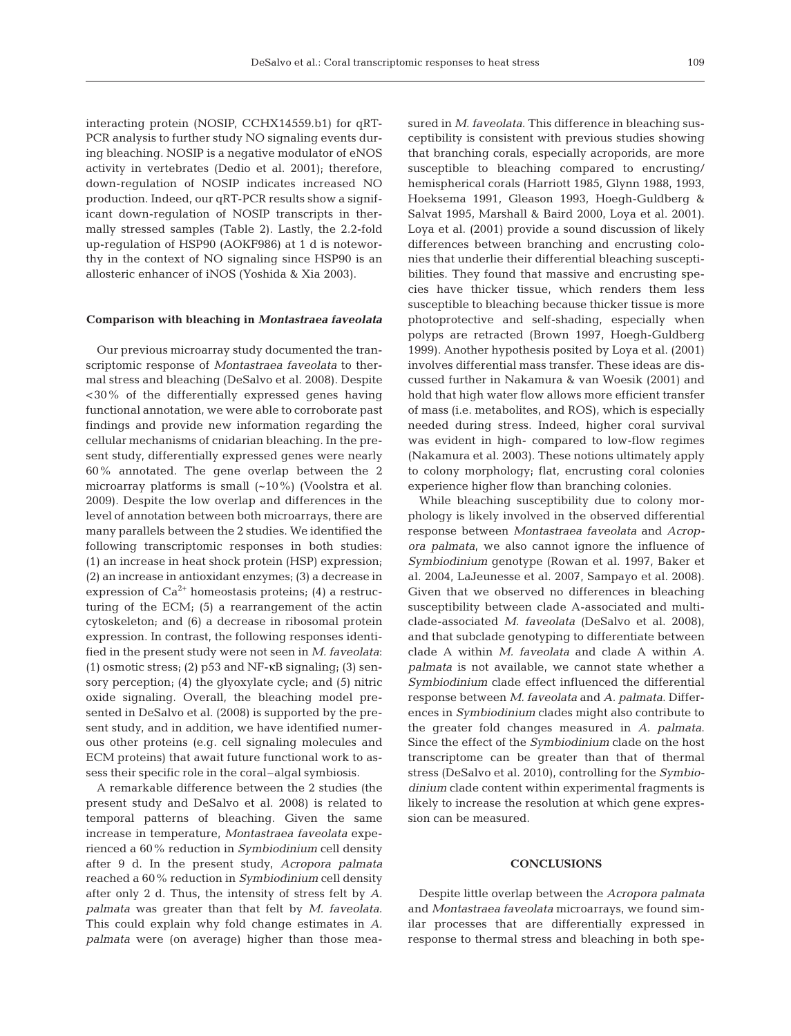interacting protein (NOSIP, CCHX14559.b1) for qRT-PCR analysis to further study NO signaling events during bleaching. NOSIP is a negative modulator of eNOS activity in vertebrates (Dedio et al. 2001); therefore, down-regulation of NOSIP indicates increased NO production. Indeed, our qRT-PCR results show a significant down-regulation of NOSIP transcripts in thermally stressed samples (Table 2). Lastly, the 2.2-fold up-regulation of HSP90 (AOKF986) at 1 d is noteworthy in the context of NO signaling since HSP90 is an allosteric enhancer of iNOS (Yoshida & Xia 2003).

## **Comparison with bleaching in** *Montastraea faveolata*

Our previous microarray study documented the transcriptomic response of *Montastraea faveolata* to thermal stress and bleaching (DeSalvo et al. 2008). Despite <30% of the differentially expressed genes having functional annotation, we were able to corroborate past findings and provide new information regarding the cellular mechanisms of cnidarian bleaching. In the present study, differentially expressed genes were nearly 60% annotated. The gene overlap between the 2 microarray platforms is small (~10%) (Voolstra et al. 2009). Despite the low overlap and differences in the level of annotation between both microarrays, there are many parallels between the 2 studies. We identified the following transcriptomic responses in both studies: (1) an increase in heat shock protein (HSP) expression; (2) an increase in antioxidant enzymes; (3) a decrease in expression of  $Ca^{2+}$  homeostasis proteins; (4) a restructuring of the ECM; (5) a rearrangement of the actin cytoskeleton; and (6) a decrease in ribosomal protein expression. In contrast, the following responses identified in the present study were not seen in *M. faveolata*: (1) osmotic stress; (2) p53 and NF-κB signaling; (3) sensory perception; (4) the glyoxylate cycle; and (5) nitric oxide signaling. Overall, the bleaching model presented in DeSalvo et al. (2008) is supported by the present study, and in addition, we have identified numerous other proteins (e.g. cell signaling molecules and ECM proteins) that await future functional work to assess their specific role in the coral–algal symbiosis.

A remarkable difference between the 2 studies (the present study and DeSalvo et al. 2008) is related to temporal patterns of bleaching. Given the same increase in temperature, *Montastraea faveolata* experienced a 60% reduction in *Symbiodinium* cell density after 9 d. In the present study, *Acropora palmata* reached a 60% reduction in *Symbiodinium* cell density after only 2 d. Thus, the intensity of stress felt by *A. palmata* was greater than that felt by *M. faveolata*. This could explain why fold change estimates in *A. palmata* were (on average) higher than those measured in *M. faveolata*. This difference in bleaching susceptibility is consistent with previous studies showing that branching corals, especially acroporids, are more susceptible to bleaching compared to encrusting/ hemispherical corals (Harriott 1985, Glynn 1988, 1993, Hoeksema 1991, Gleason 1993, Hoegh-Guldberg & Salvat 1995, Marshall & Baird 2000, Loya et al. 2001). Loya et al. (2001) provide a sound discussion of likely differences between branching and encrusting colonies that underlie their differential bleaching susceptibilities. They found that massive and encrusting species have thicker tissue, which renders them less susceptible to bleaching because thicker tissue is more photoprotective and self-shading, especially when polyps are retracted (Brown 1997, Hoegh-Guldberg 1999). Another hypothesis posited by Loya et al. (2001) involves differential mass transfer. These ideas are discussed further in Nakamura & van Woesik (2001) and hold that high water flow allows more efficient transfer of mass (i.e. metabolites, and ROS), which is especially needed during stress. Indeed, higher coral survival was evident in high- compared to low-flow regimes (Nakamura et al. 2003). These notions ultimately apply to colony morphology; flat, encrusting coral colonies experience higher flow than branching colonies.

While bleaching susceptibility due to colony morphology is likely involved in the observed differential response between *Montastraea faveolata* and *Acropora palmata*, we also cannot ignore the influence of *Symbiodinium* genotype (Rowan et al. 1997, Baker et al. 2004, LaJeunesse et al. 2007, Sampayo et al. 2008). Given that we observed no differences in bleaching susceptibility between clade A-associated and multiclade-associated *M. faveolata* (DeSalvo et al. 2008), and that subclade genotyping to differentiate between clade A within *M. faveolata* and clade A within *A. palmata* is not available, we cannot state whether a *Symbiodinium* clade effect influenced the differential response between *M. faveolata* and *A. palmata*. Differences in *Symbiodinium* clades might also contribute to the greater fold changes measured in *A. palmata*. Since the effect of the *Symbiodinium* clade on the host transcriptome can be greater than that of thermal stress (DeSalvo et al. 2010), controlling for the *Symbiodinium* clade content within experimental fragments is likely to increase the resolution at which gene expression can be measured.

## **CONCLUSIONS**

Despite little overlap between the *Acropora palmata* and *Montastraea faveolata* microarrays, we found similar processes that are differentially expressed in response to thermal stress and bleaching in both spe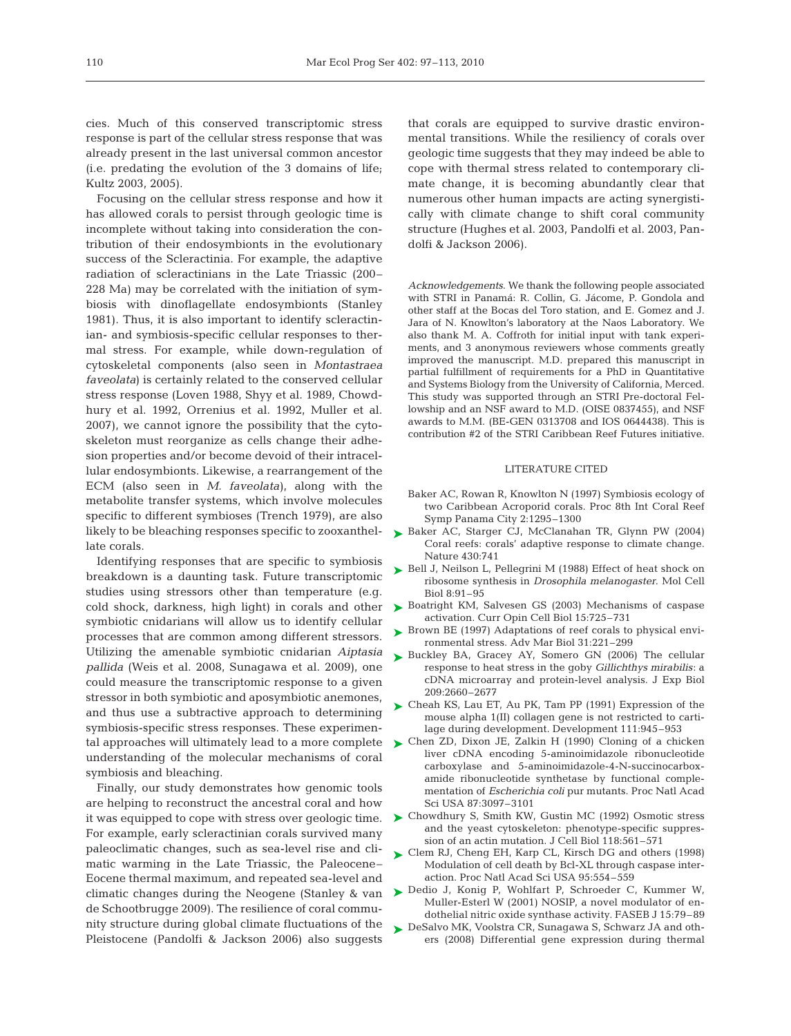cies. Much of this conserved transcriptomic stress response is part of the cellular stress response that was already present in the last universal common ancestor (i.e. predating the evolution of the 3 domains of life; Kultz 2003, 2005).

Focusing on the cellular stress response and how it has allowed corals to persist through geologic time is incomplete without taking into consideration the contribution of their endosymbionts in the evolutionary success of the Scleractinia. For example, the adaptive radiation of scleractinians in the Late Triassic (200– 228 Ma) may be correlated with the initiation of symbiosis with dinoflagellate endosymbionts (Stanley 1981). Thus, it is also important to identify scleractinian- and symbiosis-specific cellular responses to thermal stress. For example, while down-regulation of cytoskeletal components (also seen in *Montastraea faveolata*) is certainly related to the conserved cellular stress response (Loven 1988, Shyy et al. 1989, Chowdhury et al. 1992, Orrenius et al. 1992, Muller et al. 2007), we cannot ignore the possibility that the cytoskeleton must reorganize as cells change their adhesion properties and/or become devoid of their intracellular endosymbionts. Likewise, a rearrangement of the ECM (also seen in *M. faveolata)*, along with the metabolite transfer systems, which involve molecules specific to different symbioses (Trench 1979), are also likely to be bleaching responses specific to zooxanthellate corals.

Identifying responses that are specific to symbiosis breakdown is a daunting task. Future transcriptomic studies using stressors other than temperature (e.g. cold shock, darkness, high light) in corals and other symbiotic cnidarians will allow us to identify cellular processes that are common among different stressors. Utilizing the amenable symbiotic cnidarian *Aiptasia pallida* (Weis et al. 2008, Sunagawa et al. 2009), one could measure the transcriptomic response to a given stressor in both symbiotic and aposymbiotic anemones, and thus use a subtractive approach to determining symbiosis-specific stress responses. These experimenunderstanding of the molecular mechanisms of coral symbiosis and bleaching.

Finally, our study demonstrates how genomic tools are helping to reconstruct the ancestral coral and how For example, early scleractinian corals survived many paleoclimatic changes, such as sea-level rise and climatic warming in the Late Triassic, the Paleocene– Eocene thermal maximum, and repeated sea-level and climatic changes during the Neogene (Stanley & van de Schootbrugge 2009). The resilience of coral community structure during global climate fluctuations of the Pleistocene (Pandolfi & Jackson 2006) also suggests

that corals are equipped to survive drastic environmental transitions. While the resiliency of corals over geologic time suggests that they may indeed be able to cope with thermal stress related to contemporary climate change, it is becoming abundantly clear that numerous other human impacts are acting synergistically with climate change to shift coral community structure (Hughes et al. 2003, Pandolfi et al. 2003, Pandolfi & Jackson 2006).

*Acknowledgements*. We thank the following people associated with STRI in Panamá: R. Collin, G. Jácome, P. Gondola and other staff at the Bocas del Toro station, and E. Gomez and J. Jara of N. Knowlton's laboratory at the Naos Laboratory. We also thank M. A. Coffroth for initial input with tank experiments, and 3 anonymous reviewers whose comments greatly improved the manuscript. M.D. prepared this manuscript in partial fulfillment of requirements for a PhD in Quantitative and Systems Biology from the University of California, Merced. This study was supported through an STRI Pre-doctoral Fellowship and an NSF award to M.D. (OISE 0837455), and NSF awards to M.M. (BE-GEN 0313708 and IOS 0644438). This is contribution #2 of the STRI Caribbean Reef Futures initiative.

# LITERATURE CITED

- Baker AC, Rowan R, Knowlton N (1997) Symbiosis ecology of two Caribbean Acroporid corals. Proc 8th Int Coral Reef Symp Panama City 2:1295–1300
- ► Baker AC, Starger CJ, McClanahan TR, Glynn PW (2004) Coral reefs: corals' adaptive response to climate change. Nature 430:741
- ▶ Bell J, Neilson L, Pellegrini M (1988) Effect of heat shock on ribosome synthesis in *Drosophila melanogaster*. Mol Cell Biol 8:91–95
- ► Boatright KM, Salvesen GS (2003) Mechanisms of caspase activation. Curr Opin Cell Biol 15:725–731
- ► Brown BE (1997) Adaptations of reef corals to physical environmental stress. Adv Mar Biol 31:221–299
- ► Buckley BA, Gracey AY, Somero GN (2006) The cellular response to heat stress in the goby *Gillichthys mirabilis*: a cDNA microarray and protein-level analysis. J Exp Biol 209:2660–2677
- ► Cheah KS, Lau ET, Au PK, Tam PP (1991) Expression of the mouse alpha 1(II) collagen gene is not restricted to cartilage during development. Development 111:945–953
- tal approaches will ultimately lead to a more complete  $\quadblacktriangleright$  Chen ZD, Dixon JE, Zalkin H (1990) Cloning of a chicken liver cDNA encoding 5-aminoimidazole ribonucleotide carboxylase and 5-aminoimidazole-4-N-succinocarboxamide ribonucleotide synthetase by functional complementation of *Escherichia coli* pur mutants. Proc Natl Acad Sci USA 87:3097–3101
- it was equipped to cope with stress over geologic time. ▶ Chowdhury S, Smith KW, Gustin MC (1992) Osmotic stress and the yeast cytoskeleton: phenotype-specific suppression of an actin mutation. J Cell Biol 118:561–571
	- ► Clem RJ, Cheng EH, Karp CL, Kirsch DG and others (1998) Modulation of cell death by Bcl-XL through caspase interaction. Proc Natl Acad Sci USA 95:554–559
	- ▶ Dedio J, Konig P, Wohlfart P, Schroeder C, Kummer W, Muller-Esterl W (2001) NOSIP, a novel modulator of endothelial nitric oxide synthase activity. FASEB J 15:79–89
	- ► DeSalvo MK, Voolstra CR, Sunagawa S, Schwarz JA and others (2008) Differential gene expression during thermal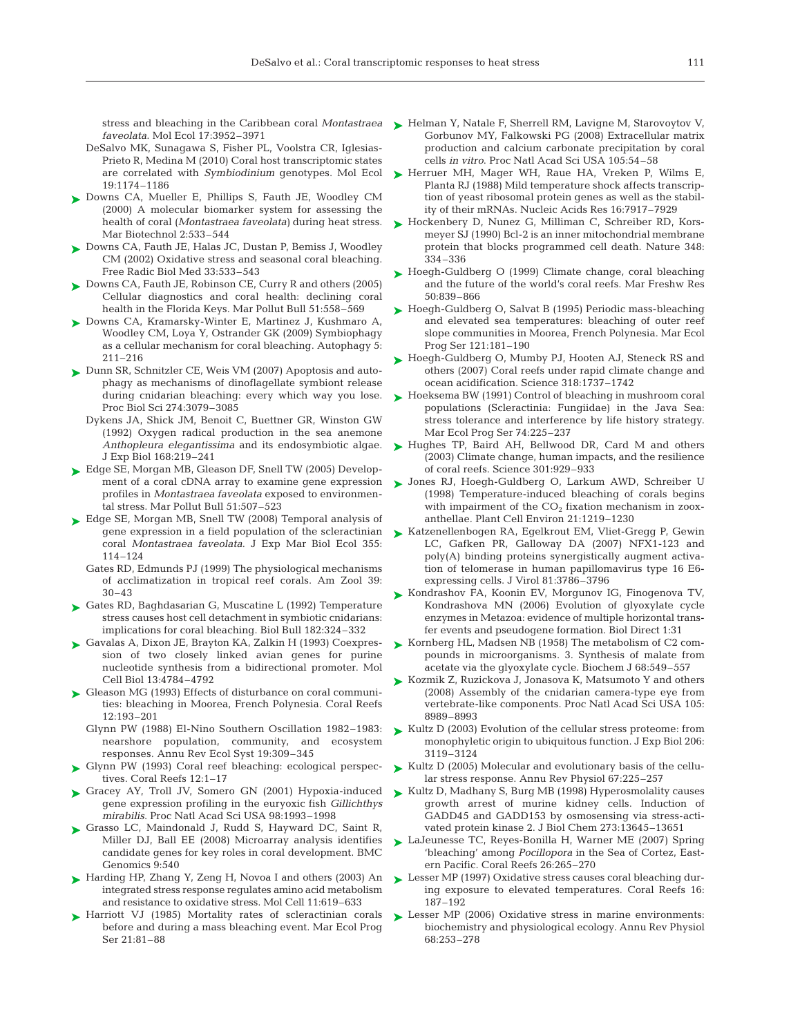*faveolata*. Mol Ecol 17:3952–3971

- DeSalvo MK, Sunagawa S, Fisher PL, Voolstra CR, Iglesias-Prieto R, Medina M (2010) Coral host transcriptomic states are correlated with *Symbiodinium* genotypes. Mol Ecol 19:1174–1186
- ► Downs CA, Mueller E, Phillips S, Fauth JE, Woodley CM (2000) A molecular biomarker system for assessing the health of coral (*Montastraea faveolata)* during heat stress. Mar Biotechnol 2:533–544
- ► Downs CA, Fauth JE, Halas JC, Dustan P, Bemiss J, Woodley CM (2002) Oxidative stress and seasonal coral bleaching. Free Radic Biol Med 33:533–543
- ► Downs CA, Fauth JE, Robinson CE, Curry R and others (2005) Cellular diagnostics and coral health: declining coral health in the Florida Keys. Mar Pollut Bull 51:558–569
- ► Downs CA, Kramarsky-Winter E, Martinez J, Kushmaro A, Woodley CM, Loya Y, Ostrander GK (2009) Symbiophagy as a cellular mechanism for coral bleaching. Autophagy 5: 211–216
- ► Dunn SR, Schnitzler CE, Weis VM (2007) Apoptosis and autophagy as mechanisms of dinoflagellate symbiont release during cnidarian bleaching: every which way you lose. Proc Biol Sci 274:3079–3085
	- Dykens JA, Shick JM, Benoit C, Buettner GR, Winston GW (1992) Oxygen radical production in the sea anemone *Anthopleura elegantissima* and its endosymbiotic algae. J Exp Biol 168:219–241
- ► Edge SE, Morgan MB, Gleason DF, Snell TW (2005) Development of a coral cDNA array to examine gene expression profiles in *Montastraea faveolata* exposed to environmental stress. Mar Pollut Bull 51:507–523
- ► Edge SE, Morgan MB, Snell TW (2008) Temporal analysis of gene expression in a field population of the scleractinian coral *Montastraea faveolata*. J Exp Mar Biol Ecol 355: 114–124
	- Gates RD, Edmunds PJ (1999) The physiological mechanisms of acclimatization in tropical reef corals. Am Zool 39: 30–43
- ► Gates RD, Baghdasarian G, Muscatine L (1992) Temperature stress causes host cell detachment in symbiotic cnidarians: implications for coral bleaching. Biol Bull 182:324–332
- ► Gavalas A, Dixon JE, Brayton KA, Zalkin H (1993) Coexpression of two closely linked avian genes for purine nucleotide synthesis from a bidirectional promoter. Mol Cell Biol 13:4784–4792
- ► Gleason MG (1993) Effects of disturbance on coral communities: bleaching in Moorea, French Polynesia. Coral Reefs 12:193–201
	- Glynn PW (1988) El-Nino Southern Oscillation 1982–1983: nearshore population, community, and ecosystem responses. Annu Rev Ecol Syst 19:309–345
- Glynn PW (1993) Coral reef bleaching: ecological perspec-➤ tives. Coral Reefs 12:1–17
- Gracey AY, Troll JV, Somero GN (2001) Hypoxia-induced ➤ gene expression profiling in the euryoxic fish *Gillichthys mirabilis*. Proc Natl Acad Sci USA 98:1993–1998
- ► Grasso LC, Maindonald J, Rudd S, Hayward DC, Saint R, Miller DJ, Ball EE (2008) Microarray analysis identifies candidate genes for key roles in coral development. BMC Genomics 9:540
- ► Harding HP, Zhang Y, Zeng H, Novoa I and others (2003) An integrated stress response regulates amino acid metabolism and resistance to oxidative stress. Mol Cell 11:619–633
- ▶ Harriott VJ (1985) Mortality rates of scleractinian corals before and during a mass bleaching event. Mar Ecol Prog Ser 21:81–88
- stress and bleaching in the Caribbean coral *Montastraea* Helman Y, Natale F, Sherrell RM, Lavigne M, Starovoytov V, Gorbunov MY, Falkowski PG (2008) Extracellular matrix production and calcium carbonate precipitation by coral cells *in vitro*. Proc Natl Acad Sci USA 105:54–58
	- $\blacktriangleright$  Herruer MH, Mager WH, Raue HA, Vreken P, Wilms E, Planta RJ (1988) Mild temperature shock affects transcription of yeast ribosomal protein genes as well as the stability of their mRNAs. Nucleic Acids Res 16:7917–7929
	- ► Hockenbery D, Nunez G, Milliman C, Schreiber RD, Korsmeyer SJ (1990) Bcl-2 is an inner mitochondrial membrane protein that blocks programmed cell death. Nature 348: 334–336
	- ► Hoegh-Guldberg O (1999) Climate change, coral bleaching and the future of the world's coral reefs. Mar Freshw Res 50:839–866
	- ► Hoegh-Guldberg O, Salvat B (1995) Periodic mass-bleaching and elevated sea temperatures: bleaching of outer reef slope communities in Moorea, French Polynesia. Mar Ecol Prog Ser 121:181–190
	- ► Hoegh-Guldberg O, Mumby PJ, Hooten AJ, Steneck RS and others (2007) Coral reefs under rapid climate change and ocean acidification. Science 318:1737–1742
	- ► Hoeksema BW (1991) Control of bleaching in mushroom coral populations (Scleractinia: Fungiidae) in the Java Sea: stress tolerance and interference by life history strategy. Mar Ecol Prog Ser 74:225–237
	- ► Hughes TP, Baird AH, Bellwood DR, Card M and others (2003) Climate change, human impacts, and the resilience of coral reefs. Science 301:929–933
	- ▶ Jones RJ, Hoegh-Guldberg O, Larkum AWD, Schreiber U (1998) Temperature-induced bleaching of corals begins with impairment of the  $CO<sub>2</sub>$  fixation mechanism in zooxanthellae. Plant Cell Environ 21:1219–1230
	- ► Katzenellenbogen RA, Egelkrout EM, Vliet-Gregg P, Gewin LC, Gafken PR, Galloway DA (2007) NFX1-123 and poly(A) binding proteins synergistically augment activation of telomerase in human papillomavirus type 16 E6 expressing cells. J Virol 81:3786–3796
	- ► Kondrashov FA, Koonin EV, Morgunov IG, Finogenova TV, Kondrashova MN (2006) Evolution of glyoxylate cycle enzymes in Metazoa: evidence of multiple horizontal transfer events and pseudogene formation. Biol Direct 1:31
	- ► Kornberg HL, Madsen NB (1958) The metabolism of C2 compounds in microorganisms. 3. Synthesis of malate from acetate via the glyoxylate cycle. Biochem J 68:549–557
	- ► Kozmik Z, Ruzickova J, Jonasova K, Matsumoto Y and others (2008) Assembly of the cnidarian camera-type eye from vertebrate-like components. Proc Natl Acad Sci USA 105: 8989–8993
	- ► Kultz D (2003) Evolution of the cellular stress proteome: from monophyletic origin to ubiquitous function. J Exp Biol 206: 3119–3124
	- ► Kultz D (2005) Molecular and evolutionary basis of the cellular stress response. Annu Rev Physiol 67:225–257
	- ► Kultz D, Madhany S, Burg MB (1998) Hyperosmolality causes growth arrest of murine kidney cells. Induction of GADD45 and GADD153 by osmosensing via stress-activated protein kinase 2. J Biol Chem 273:13645–13651
	- ► LaJeunesse TC, Reyes-Bonilla H, Warner ME (2007) Spring 'bleaching' among *Pocillopora* in the Sea of Cortez, Eastern Pacific. Coral Reefs 26:265–270
	- ► Lesser MP (1997) Oxidative stress causes coral bleaching during exposure to elevated temperatures. Coral Reefs 16: 187–192
	- ► Lesser MP (2006) Oxidative stress in marine environments: biochemistry and physiological ecology. Annu Rev Physiol 68:253–278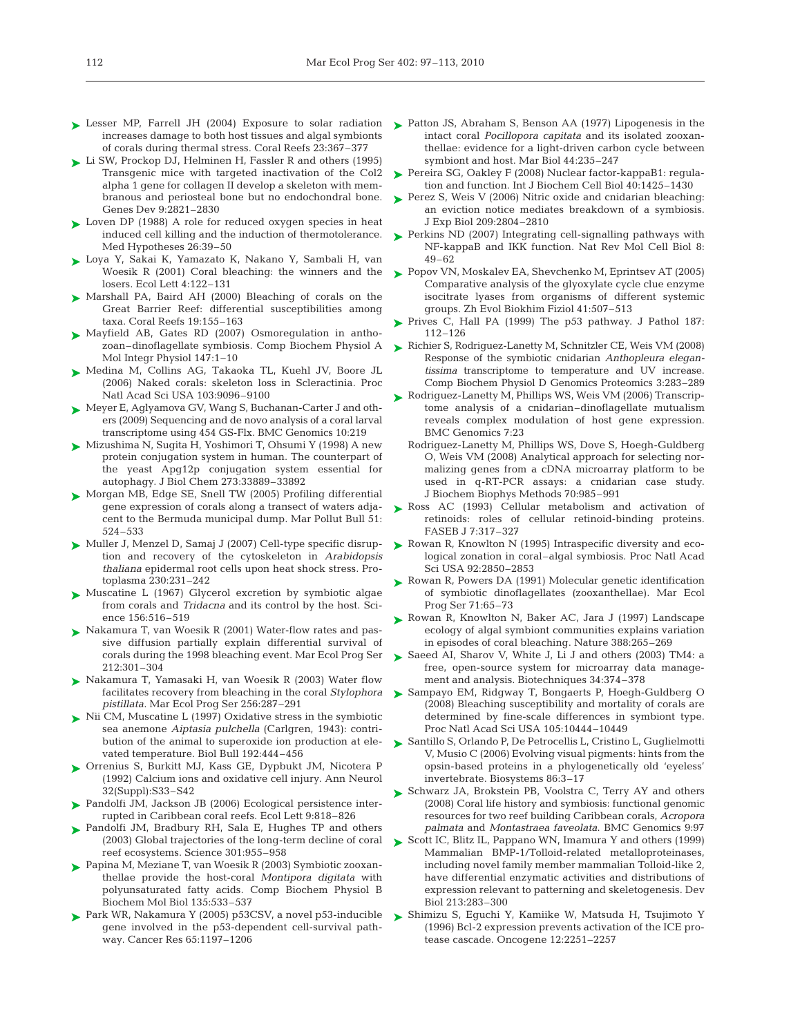- ► Lesser MP, Farrell JH (2004) Exposure to solar radiation increases damage to both host tissues and algal symbionts of corals during thermal stress. Coral Reefs 23:367–377
- ► Li SW, Prockop DJ, Helminen H, Fassler R and others (1995) Transgenic mice with targeted inactivation of the Col2 alpha 1 gene for collagen II develop a skeleton with membranous and periosteal bone but no endochondral bone. Genes Dev 9:2821–2830
- ► Loven DP (1988) A role for reduced oxygen species in heat induced cell killing and the induction of thermotolerance. Med Hypotheses 26:39–50
- ► Loya Y, Sakai K, Yamazato K, Nakano Y, Sambali H, van Woesik R (2001) Coral bleaching: the winners and the losers. Ecol Lett 4:122–131
- ► Marshall PA, Baird AH (2000) Bleaching of corals on the Great Barrier Reef: differential susceptibilities among taxa. Coral Reefs 19:155–163
- ▶ Mayfield AB, Gates RD (2007) Osmoregulation in anthozoan–dinoflagellate symbiosis. Comp Biochem Physiol A Mol Integr Physiol 147:1–10
- ► Medina M, Collins AG, Takaoka TL, Kuehl JV, Boore JL (2006) Naked corals: skeleton loss in Scleractinia. Proc Natl Acad Sci USA 103:9096–9100
- ► Meyer E, Aglyamova GV, Wang S, Buchanan-Carter J and others (2009) Sequencing and de novo analysis of a coral larval transcriptome using 454 GS-Flx. BMC Genomics 10:219
- Mizushima N, Sugita H, Yoshimori T, Ohsumi Y (1998) A new ➤ protein conjugation system in human. The counterpart of the yeast Apg12p conjugation system essential for autophagy. J Biol Chem 273:33889–33892
- ► Morgan MB, Edge SE, Snell TW (2005) Profiling differential gene expression of corals along a transect of waters adjacent to the Bermuda municipal dump. Mar Pollut Bull 51: 524–533
- ► Muller J, Menzel D, Samaj J (2007) Cell-type specific disruption and recovery of the cytoskeleton in *Arabidopsis thaliana* epidermal root cells upon heat shock stress. Protoplasma 230:231–242
- ► Muscatine L (1967) Glycerol excretion by symbiotic algae from corals and *Tridacna* and its control by the host. Science 156:516–519
- ► Nakamura T, van Woesik R (2001) Water-flow rates and passive diffusion partially explain differential survival of corals during the 1998 bleaching event. Mar Ecol Prog Ser 212:301–304
- ▶ Nakamura T, Yamasaki H, van Woesik R (2003) Water flow facilitates recovery from bleaching in the coral *Stylophora pistillata*. Mar Ecol Prog Ser 256:287–291
- ► Nii CM, Muscatine L (1997) Oxidative stress in the symbiotic sea anemone *Aiptasia pulchella* (Carlgren, 1943): contribution of the animal to superoxide ion production at elevated temperature. Biol Bull 192:444–456
- Orrenius S, Burkitt MJ, Kass GE, Dypbukt JM, Nicotera P ➤ (1992) Calcium ions and oxidative cell injury. Ann Neurol 32(Suppl):S33–S42
- ► Pandolfi JM, Jackson JB (2006) Ecological persistence interrupted in Caribbean coral reefs. Ecol Lett 9:818–826
- ▶ Pandolfi JM, Bradbury RH, Sala E, Hughes TP and others (2003) Global trajectories of the long-term decline of coral reef ecosystems. Science 301:955–958
- Papina M, Meziane T, van Woesik R (2003) Symbiotic zooxan-➤ thellae provide the host-coral *Montipora digitata* with polyunsaturated fatty acids. Comp Biochem Physiol B Biochem Mol Biol 135:533–537
- Park WR, Nakamura Y (2005) p53CSV, a novel p53-inducible ➤ gene involved in the p53-dependent cell-survival pathway. Cancer Res 65:1197–1206
- ► Patton JS, Abraham S, Benson AA (1977) Lipogenesis in the intact coral *Pocillopora capitata* and its isolated zooxanthellae: evidence for a light-driven carbon cycle between symbiont and host. Mar Biol 44:235–247
- ► Pereira SG, Oakley F (2008) Nuclear factor-kappaB1: regulation and function. Int J Biochem Cell Biol 40:1425–1430
- ► Perez S, Weis V (2006) Nitric oxide and cnidarian bleaching: an eviction notice mediates breakdown of a symbiosis. J Exp Biol 209:2804–2810
- ► Perkins ND (2007) Integrating cell-signalling pathways with NF-kappaB and IKK function. Nat Rev Mol Cell Biol 8: 49–62
- ► Popov VN, Moskalev EA, Shevchenko M, Eprintsev AT (2005) Comparative analysis of the glyoxylate cycle clue enzyme isocitrate lyases from organisms of different systemic groups. Zh Evol Biokhim Fiziol 41:507–513
- ► Prives C, Hall PA (1999) The p53 pathway. J Pathol 187: 112–126
- ► Richier S, Rodriguez-Lanetty M, Schnitzler CE, Weis VM (2008) Response of the symbiotic cnidarian *Anthopleura elegantissima* transcriptome to temperature and UV increase. Comp Biochem Physiol D Genomics Proteomics 3:283–289
- ► Rodriguez-Lanetty M, Phillips WS, Weis VM (2006) Transcriptome analysis of a cnidarian–dinoflagellate mutualism reveals complex modulation of host gene expression. BMC Genomics 7:23
	- Rodriguez-Lanetty M, Phillips WS, Dove S, Hoegh-Guldberg O, Weis VM (2008) Analytical approach for selecting normalizing genes from a cDNA microarray platform to be used in q-RT-PCR assays: a cnidarian case study. J Biochem Biophys Methods 70:985–991
- ▶ Ross AC (1993) Cellular metabolism and activation of retinoids: roles of cellular retinoid-binding proteins. FASEB J 7:317–327
- ► Rowan R, Knowlton N (1995) Intraspecific diversity and ecological zonation in coral–algal symbiosis. Proc Natl Acad Sci USA 92:2850–2853
- ▶ Rowan R, Powers DA (1991) Molecular genetic identification of symbiotic dinoflagellates (zooxanthellae). Mar Ecol Prog Ser 71:65–73
- ▶ Rowan R, Knowlton N, Baker AC, Jara J (1997) Landscape ecology of algal symbiont communities explains variation in episodes of coral bleaching. Nature 388:265–269
- ▶ Saeed AI, Sharov V, White J, Li J and others (2003) TM4: a free, open-source system for microarray data management and analysis. Biotechniques 34:374–378
- ► Sampayo EM, Ridgway T, Bongaerts P, Hoegh-Guldberg O (2008) Bleaching susceptibility and mortality of corals are determined by fine-scale differences in symbiont type. Proc Natl Acad Sci USA 105:10444–10449
- ► Santillo S, Orlando P, De Petrocellis L, Cristino L, Guglielmotti V, Musio C (2006) Evolving visual pigments: hints from the opsin-based proteins in a phylogenetically old 'eyeless' invertebrate. Biosystems 86:3–17
- ► Schwarz JA, Brokstein PB, Voolstra C, Terry AY and others (2008) Coral life history and symbiosis: functional genomic resources for two reef building Caribbean corals, *Acropora palmata* and *Montastraea faveolata*. BMC Genomics 9:97
- ► Scott IC, Blitz IL, Pappano WN, Imamura Y and others (1999) Mammalian BMP-1/Tolloid-related metalloproteinases, including novel family member mammalian Tolloid-like 2, have differential enzymatic activities and distributions of expression relevant to patterning and skeletogenesis. Dev Biol 213:283–300
- Shimizu S, Eguchi Y, Kamiike W, Matsuda H, Tsujimoto Y ➤(1996) Bcl-2 expression prevents activation of the ICE protease cascade. Oncogene 12:2251–2257